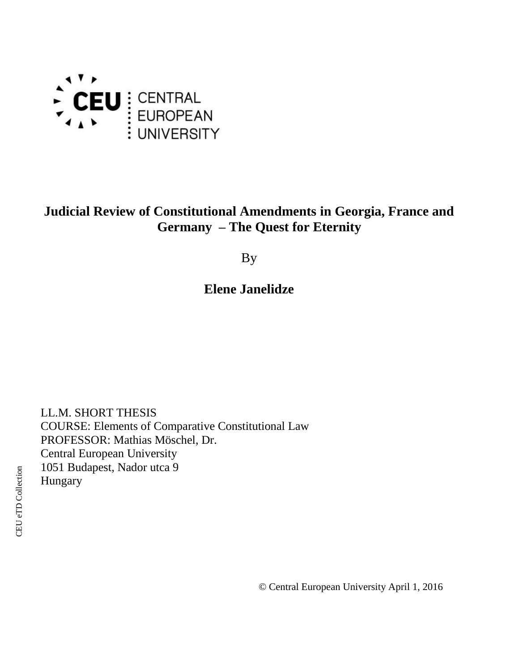

# **Judicial Review of Constitutional Amendments in Georgia, France and Germany – The Quest for Eternity**

By

# **Elene Janelidze**

LL.M. SHORT THESIS COURSE: Elements of Comparative Constitutional Law PROFESSOR: Mathias Möschel, Dr. Central European University 1051 Budapest, Nador utca 9 Hungary

© Central European University April 1, 2016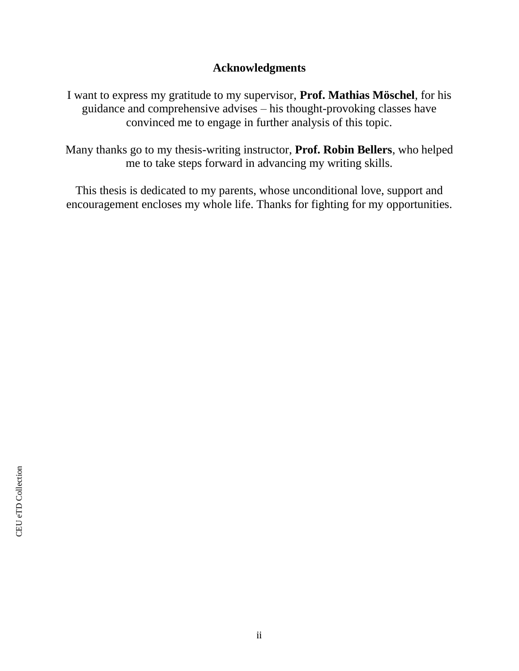# **Acknowledgments**

I want to express my gratitude to my supervisor, **Prof. Mathias Möschel**, for his guidance and comprehensive advises – his thought-provoking classes have convinced me to engage in further analysis of this topic.

Many thanks go to my thesis-writing instructor, **Prof. Robin Bellers**, who helped me to take steps forward in advancing my writing skills.

This thesis is dedicated to my parents, whose unconditional love, support and encouragement encloses my whole life. Thanks for fighting for my opportunities.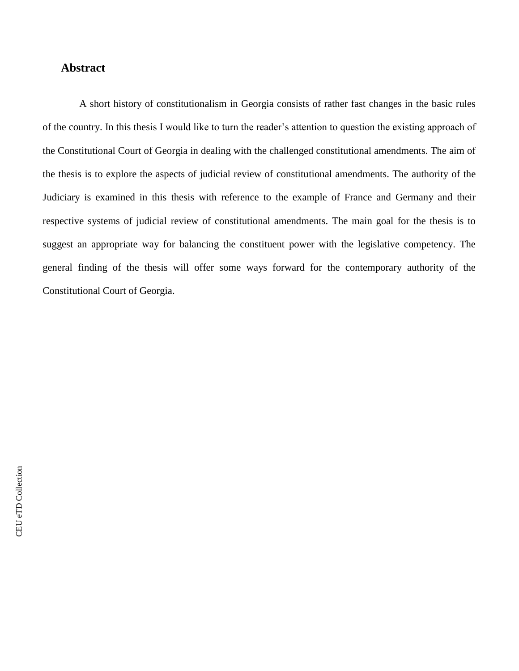# **Abstract**

A short history of constitutionalism in Georgia consists of rather fast changes in the basic rules of the country. In this thesis I would like to turn the reader's attention to question the existing approach of the Constitutional Court of Georgia in dealing with the challenged constitutional amendments. The aim of the thesis is to explore the aspects of judicial review of constitutional amendments. The authority of the Judiciary is examined in this thesis with reference to the example of France and Germany and their respective systems of judicial review of constitutional amendments. The main goal for the thesis is to suggest an appropriate way for balancing the constituent power with the legislative competency. The general finding of the thesis will offer some ways forward for the contemporary authority of the Constitutional Court of Georgia.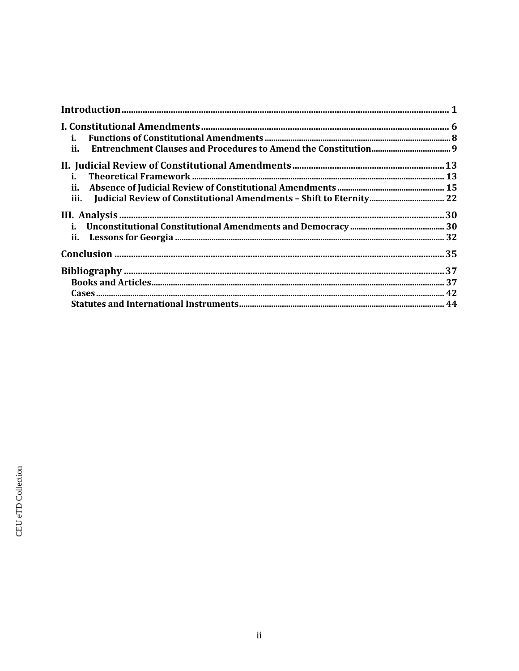| i.   |  |
|------|--|
| ii.  |  |
|      |  |
| i.   |  |
|      |  |
| iii. |  |
|      |  |
|      |  |
|      |  |
|      |  |
|      |  |
|      |  |
|      |  |
|      |  |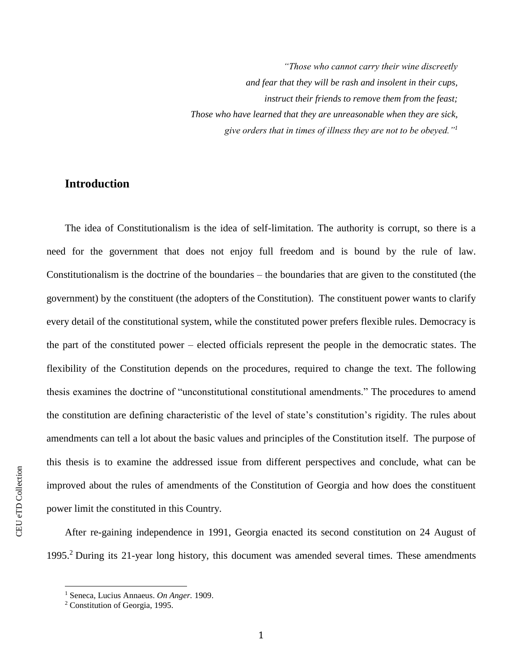*"Those who cannot carry their wine discreetly and fear that they will be rash and insolent in their cups, instruct their friends to remove them from the feast; Those who have learned that they are unreasonable when they are sick, give orders that in times of illness they are not to be obeyed."<sup>1</sup>*

# **Introduction**

The idea of Constitutionalism is the idea of self-limitation. The authority is corrupt, so there is a need for the government that does not enjoy full freedom and is bound by the rule of law. Constitutionalism is the doctrine of the boundaries – the boundaries that are given to the constituted (the government) by the constituent (the adopters of the Constitution). The constituent power wants to clarify every detail of the constitutional system, while the constituted power prefers flexible rules. Democracy is the part of the constituted power – elected officials represent the people in the democratic states. The flexibility of the Constitution depends on the procedures, required to change the text. The following thesis examines the doctrine of "unconstitutional constitutional amendments." The procedures to amend the constitution are defining characteristic of the level of state's constitution's rigidity. The rules about amendments can tell a lot about the basic values and principles of the Constitution itself. The purpose of this thesis is to examine the addressed issue from different perspectives and conclude, what can be improved about the rules of amendments of the Constitution of Georgia and how does the constituent power limit the constituted in this Country.

After re-gaining independence in 1991, Georgia enacted its second constitution on 24 August of 1995. <sup>2</sup> During its 21-year long history, this document was amended several times. These amendments

l

<sup>1</sup> Seneca, Lucius Annaeus. *On Anger.* 1909.

<sup>2</sup> Constitution of Georgia, 1995.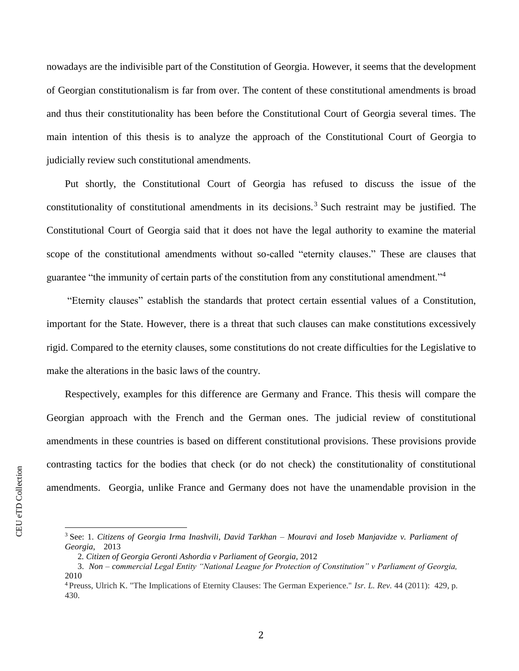nowadays are the indivisible part of the Constitution of Georgia. However, it seems that the development of Georgian constitutionalism is far from over. The content of these constitutional amendments is broad and thus their constitutionality has been before the Constitutional Court of Georgia several times. The main intention of this thesis is to analyze the approach of the Constitutional Court of Georgia to judicially review such constitutional amendments.

Put shortly, the Constitutional Court of Georgia has refused to discuss the issue of the constitutionality of constitutional amendments in its decisions.<sup>3</sup> Such restraint may be justified. The Constitutional Court of Georgia said that it does not have the legal authority to examine the material scope of the constitutional amendments without so-called "eternity clauses." These are clauses that guarantee "the immunity of certain parts of the constitution from any constitutional amendment."<sup>4</sup>

"Eternity clauses" establish the standards that protect certain essential values of a Constitution, important for the State. However, there is a threat that such clauses can make constitutions excessively rigid. Compared to the eternity clauses, some constitutions do not create difficulties for the Legislative to make the alterations in the basic laws of the country.

Respectively, examples for this difference are Germany and France. This thesis will compare the Georgian approach with the French and the German ones. The judicial review of constitutional amendments in these countries is based on different constitutional provisions. These provisions provide contrasting tactics for the bodies that check (or do not check) the constitutionality of constitutional amendments. Georgia, unlike France and Germany does not have the unamendable provision in the

l

<sup>3</sup> See: 1. *Citizens of Georgia Irma Inashvili, David Tarkhan – Mouravi and Ioseb Manjavidze v. Parliament of Georgia*, 2013

 <sup>2</sup>*. Citizen of Georgia Geronti Ashordia v Parliament of Georgia,* 2012

 <sup>3.</sup> *Non – commercial Legal Entity "National League for Protection of Constitution" v Parliament of Georgia,* 2010

<sup>4</sup>Preuss, Ulrich K. "The Implications of Eternity Clauses: The German Experience." *Isr. L. Rev.* 44 (2011): 429, p. 430.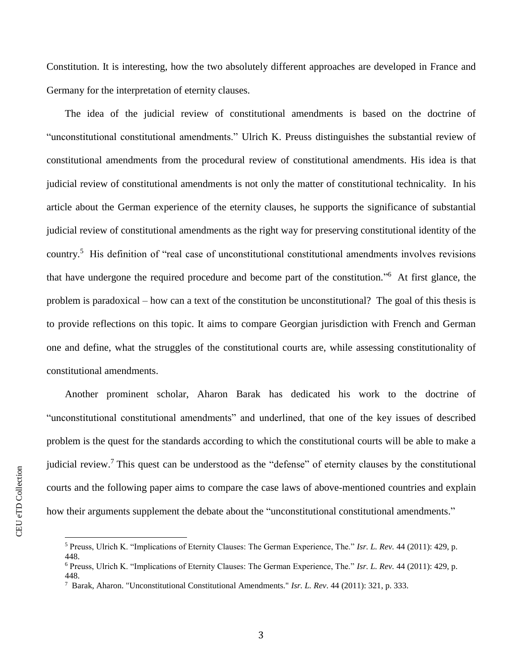Constitution. It is interesting, how the two absolutely different approaches are developed in France and Germany for the interpretation of eternity clauses.

The idea of the judicial review of constitutional amendments is based on the doctrine of "unconstitutional constitutional amendments." Ulrich K. Preuss distinguishes the substantial review of constitutional amendments from the procedural review of constitutional amendments. His idea is that judicial review of constitutional amendments is not only the matter of constitutional technicality. In his article about the German experience of the eternity clauses, he supports the significance of substantial judicial review of constitutional amendments as the right way for preserving constitutional identity of the country.<sup>5</sup> His definition of "real case of unconstitutional constitutional amendments involves revisions that have undergone the required procedure and become part of the constitution." 6 At first glance, the problem is paradoxical – how can a text of the constitution be unconstitutional? The goal of this thesis is to provide reflections on this topic. It aims to compare Georgian jurisdiction with French and German one and define, what the struggles of the constitutional courts are, while assessing constitutionality of constitutional amendments.

Another prominent scholar, Aharon Barak has dedicated his work to the doctrine of "unconstitutional constitutional amendments" and underlined, that one of the key issues of described problem is the quest for the standards according to which the constitutional courts will be able to make a judicial review.<sup>7</sup> This quest can be understood as the "defense" of eternity clauses by the constitutional courts and the following paper aims to compare the case laws of above-mentioned countries and explain how their arguments supplement the debate about the "unconstitutional constitutional amendments."

 $\overline{a}$ 

448.

<sup>5</sup> Preuss, Ulrich K. "Implications of Eternity Clauses: The German Experience, The." *Isr. L. Rev.* 44 (2011): 429, p.

<sup>6</sup> Preuss, Ulrich K. "Implications of Eternity Clauses: The German Experience, The." *Isr. L. Rev.* 44 (2011): 429, p.

<sup>448.</sup>

<sup>7</sup> Barak, Aharon. "Unconstitutional Constitutional Amendments." *Isr. L. Rev*. 44 (2011): 321, p. 333.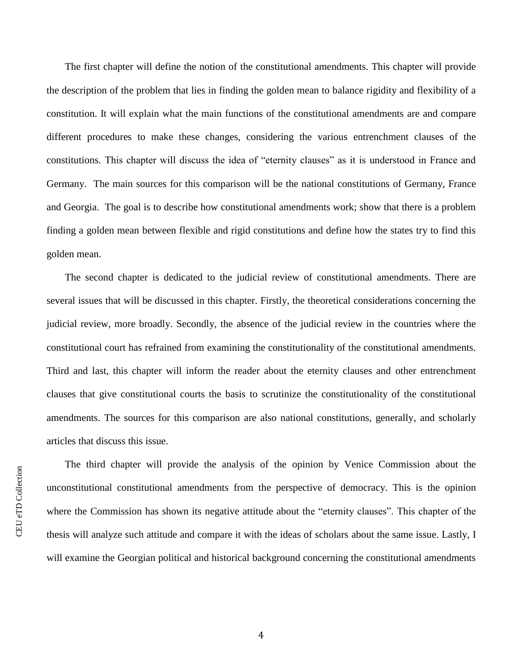The first chapter will define the notion of the constitutional amendments. This chapter will provide the description of the problem that lies in finding the golden mean to balance rigidity and flexibility of a constitution. It will explain what the main functions of the constitutional amendments are and compare different procedures to make these changes, considering the various entrenchment clauses of the constitutions. This chapter will discuss the idea of "eternity clauses" as it is understood in France and Germany. The main sources for this comparison will be the national constitutions of Germany, France and Georgia. The goal is to describe how constitutional amendments work; show that there is a problem finding a golden mean between flexible and rigid constitutions and define how the states try to find this golden mean.

The second chapter is dedicated to the judicial review of constitutional amendments. There are several issues that will be discussed in this chapter. Firstly, the theoretical considerations concerning the judicial review, more broadly. Secondly, the absence of the judicial review in the countries where the constitutional court has refrained from examining the constitutionality of the constitutional amendments. Third and last, this chapter will inform the reader about the eternity clauses and other entrenchment clauses that give constitutional courts the basis to scrutinize the constitutionality of the constitutional amendments. The sources for this comparison are also national constitutions, generally, and scholarly articles that discuss this issue.

The third chapter will provide the analysis of the opinion by Venice Commission about the unconstitutional constitutional amendments from the perspective of democracy. This is the opinion where the Commission has shown its negative attitude about the "eternity clauses". This chapter of the thesis will analyze such attitude and compare it with the ideas of scholars about the same issue. Lastly, I will examine the Georgian political and historical background concerning the constitutional amendments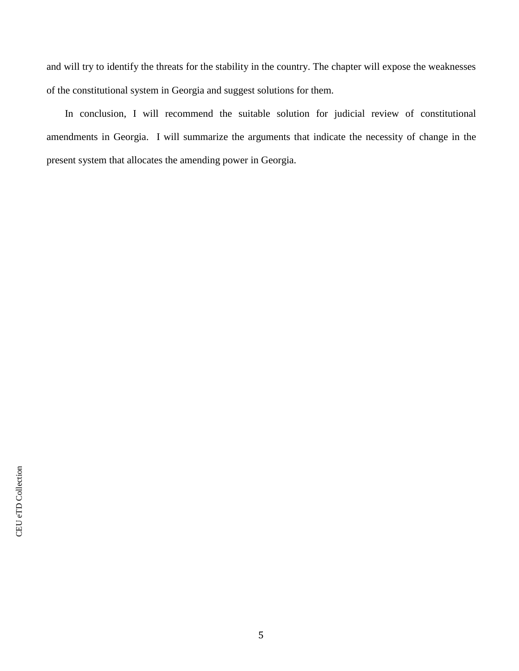and will try to identify the threats for the stability in the country. The chapter will expose the weaknesses of the constitutional system in Georgia and suggest solutions for them.

In conclusion, I will recommend the suitable solution for judicial review of constitutional amendments in Georgia. I will summarize the arguments that indicate the necessity of change in the present system that allocates the amending power in Georgia.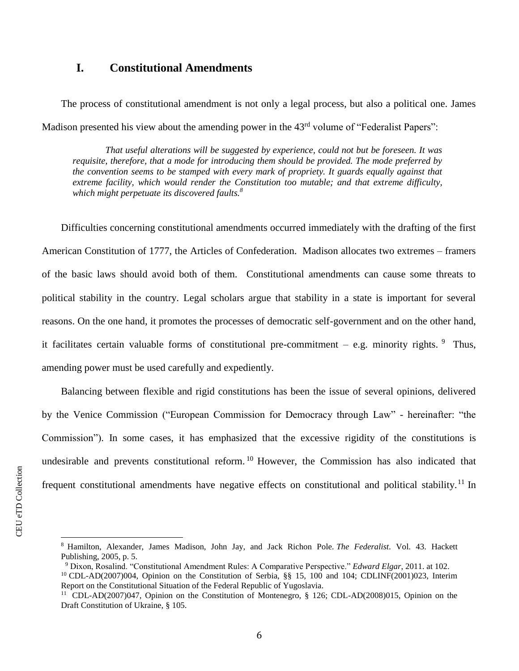# **I. Constitutional Amendments**

The process of constitutional amendment is not only a legal process, but also a political one. James Madison presented his view about the amending power in the  $43<sup>rd</sup>$  volume of "Federalist Papers":

*That useful alterations will be suggested by experience, could not but be foreseen. It was requisite, therefore, that a mode for introducing them should be provided. The mode preferred by the convention seems to be stamped with every mark of propriety. It guards equally against that extreme facility, which would render the Constitution too mutable; and that extreme difficulty, which might perpetuate its discovered faults.<sup>8</sup>*

Difficulties concerning constitutional amendments occurred immediately with the drafting of the first American Constitution of 1777, the Articles of Confederation. Madison allocates two extremes – framers of the basic laws should avoid both of them. Constitutional amendments can cause some threats to political stability in the country. Legal scholars argue that stability in a state is important for several reasons. On the one hand, it promotes the processes of democratic self-government and on the other hand, it facilitates certain valuable forms of constitutional pre-commitment  $-$  e.g. minority rights.  $9$  Thus, amending power must be used carefully and expediently.

Balancing between flexible and rigid constitutions has been the issue of several opinions, delivered by the Venice Commission ("European Commission for Democracy through Law" - hereinafter: "the Commission"). In some cases, it has emphasized that the excessive rigidity of the constitutions is undesirable and prevents constitutional reform.<sup>10</sup> However, the Commission has also indicated that frequent constitutional amendments have negative effects on constitutional and political stability.<sup>11</sup> In

<sup>8</sup> Hamilton, Alexander, James Madison, John Jay, and Jack Richon Pole. *The Federalist*. Vol. 43. Hackett Publishing, 2005, p. 5.

<sup>9</sup> Dixon, Rosalind. "Constitutional Amendment Rules: A Comparative Perspective." *Edward Elgar*, 2011. at 102. <sup>10</sup> CDL-AD(2007)004, Opinion on the Constitution of Serbia, §§ 15, 100 and 104; CDLINF(2001)023, Interim Report on the Constitutional Situation of the Federal Republic of Yugoslavia.

<sup>11</sup> CDL-AD(2007)047, Opinion on the Constitution of Montenegro, § 126; CDL-AD(2008)015, Opinion on the Draft Constitution of Ukraine, § 105.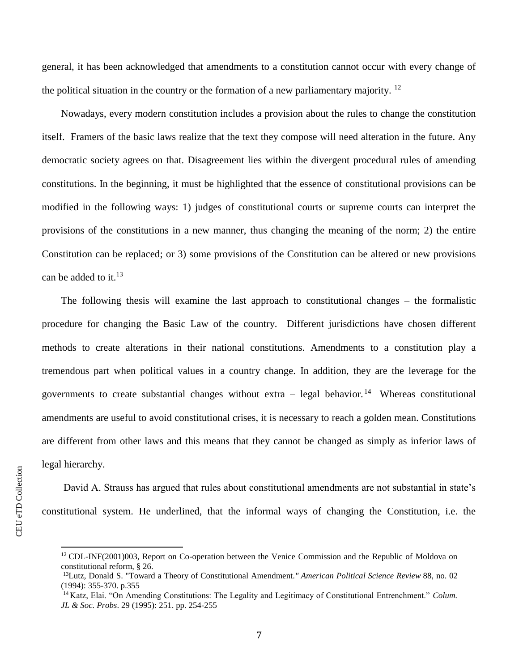general, it has been acknowledged that amendments to a constitution cannot occur with every change of the political situation in the country or the formation of a new parliamentary majority.  $^{12}$ 

Nowadays, every modern constitution includes a provision about the rules to change the constitution itself. Framers of the basic laws realize that the text they compose will need alteration in the future. Any democratic society agrees on that. Disagreement lies within the divergent procedural rules of amending constitutions. In the beginning, it must be highlighted that the essence of constitutional provisions can be modified in the following ways: 1) judges of constitutional courts or supreme courts can interpret the provisions of the constitutions in a new manner, thus changing the meaning of the norm; 2) the entire Constitution can be replaced; or 3) some provisions of the Constitution can be altered or new provisions can be added to it. $^{13}$ 

The following thesis will examine the last approach to constitutional changes – the formalistic procedure for changing the Basic Law of the country. Different jurisdictions have chosen different methods to create alterations in their national constitutions. Amendments to a constitution play a tremendous part when political values in a country change. In addition, they are the leverage for the governments to create substantial changes without extra  $-$  legal behavior.<sup>14</sup> Whereas constitutional amendments are useful to avoid constitutional crises, it is necessary to reach a golden mean. Constitutions are different from other laws and this means that they cannot be changed as simply as inferior laws of legal hierarchy.

David A. Strauss has argued that rules about constitutional amendments are not substantial in state's constitutional system. He underlined, that the informal ways of changing the Constitution, i.e. the

<sup>&</sup>lt;sup>12</sup> CDL-INF(2001)003, Report on Co-operation between the Venice Commission and the Republic of Moldova on constitutional reform, § 26.

<sup>13</sup>Lutz, Donald S. "Toward a Theory of Constitutional Amendment*." American Political Science Review* 88, no. 02 (1994): 355-370. p.355

<sup>14</sup> Katz, Elai. "On Amending Constitutions: The Legality and Legitimacy of Constitutional Entrenchment." *Colum. JL & Soc. Probs*. 29 (1995): 251. pp. 254-255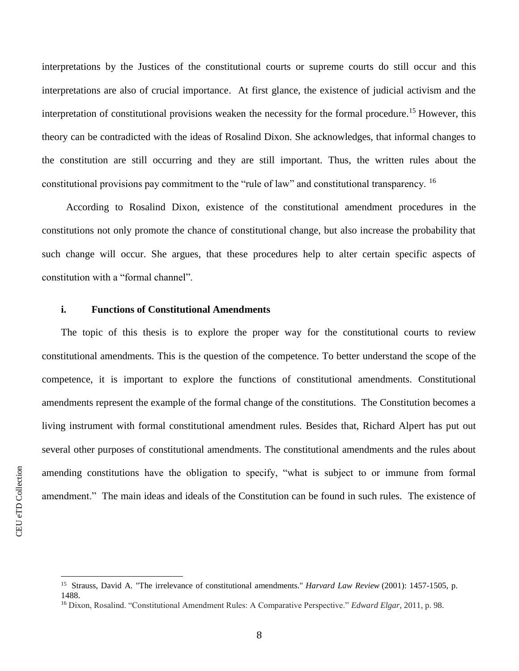interpretations by the Justices of the constitutional courts or supreme courts do still occur and this interpretations are also of crucial importance. At first glance, the existence of judicial activism and the interpretation of constitutional provisions weaken the necessity for the formal procedure. <sup>15</sup> However, this theory can be contradicted with the ideas of Rosalind Dixon. She acknowledges, that informal changes to the constitution are still occurring and they are still important. Thus, the written rules about the constitutional provisions pay commitment to the "rule of law" and constitutional transparency. <sup>16</sup>

 According to Rosalind Dixon, existence of the constitutional amendment procedures in the constitutions not only promote the chance of constitutional change, but also increase the probability that such change will occur. She argues, that these procedures help to alter certain specific aspects of constitution with a "formal channel".

## **i. Functions of Constitutional Amendments**

The topic of this thesis is to explore the proper way for the constitutional courts to review constitutional amendments. This is the question of the competence. To better understand the scope of the competence, it is important to explore the functions of constitutional amendments. Constitutional amendments represent the example of the formal change of the constitutions. The Constitution becomes a living instrument with formal constitutional amendment rules. Besides that, Richard Alpert has put out several other purposes of constitutional amendments. The constitutional amendments and the rules about amending constitutions have the obligation to specify, "what is subject to or immune from formal amendment." The main ideas and ideals of the Constitution can be found in such rules. The existence of

<sup>&</sup>lt;sup>15</sup> Strauss, David A. "The irrelevance of constitutional amendments." *Harvard Law Review* (2001): 1457-1505, p. 1488.

<sup>16</sup> Dixon, Rosalind. "Constitutional Amendment Rules: A Comparative Perspective." *Edward Elgar*, 2011, p. 98.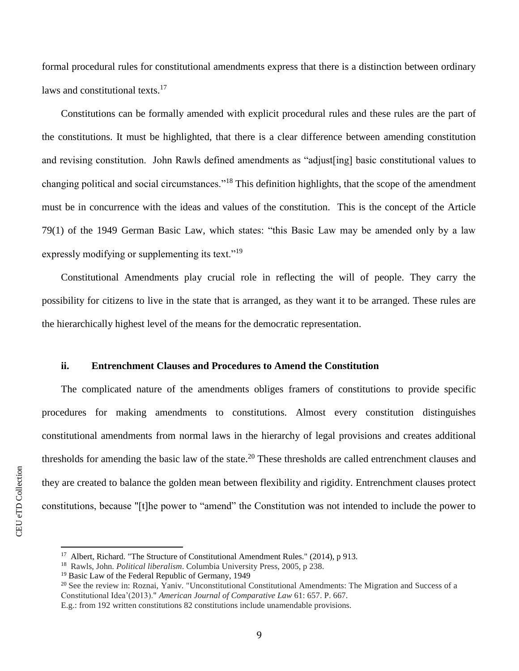formal procedural rules for constitutional amendments express that there is a distinction between ordinary laws and constitutional texts.<sup>17</sup>

Constitutions can be formally amended with explicit procedural rules and these rules are the part of the constitutions. It must be highlighted, that there is a clear difference between amending constitution and revising constitution. John Rawls defined amendments as "adjust[ing] basic constitutional values to changing political and social circumstances."<sup>18</sup> This definition highlights, that the scope of the amendment must be in concurrence with the ideas and values of the constitution. This is the concept of the Article 79(1) of the 1949 German Basic Law, which states: "this Basic Law may be amended only by a law expressly modifying or supplementing its text."<sup>19</sup>

Constitutional Amendments play crucial role in reflecting the will of people. They carry the possibility for citizens to live in the state that is arranged, as they want it to be arranged. These rules are the hierarchically highest level of the means for the democratic representation.

# **ii. Entrenchment Clauses and Procedures to Amend the Constitution**

The complicated nature of the amendments obliges framers of constitutions to provide specific procedures for making amendments to constitutions. Almost every constitution distinguishes constitutional amendments from normal laws in the hierarchy of legal provisions and creates additional thresholds for amending the basic law of the state.<sup>20</sup> These thresholds are called entrenchment clauses and they are created to balance the golden mean between flexibility and rigidity. Entrenchment clauses protect constitutions, because "[t]he power to "amend" the Constitution was not intended to include the power to

<sup>&</sup>lt;sup>17</sup> Albert, Richard. "The Structure of Constitutional Amendment Rules." (2014), p 913.

<sup>18</sup> Rawls, John. *Political liberalism*. Columbia University Press, 2005, p 238.

<sup>&</sup>lt;sup>19</sup> Basic Law of the Federal Republic of Germany, 1949

<sup>&</sup>lt;sup>20</sup> See the review in: Roznai, Yaniv. "Unconstitutional Constitutional Amendments: The Migration and Success of a Constitutional Idea'(2013)." *American Journal of Comparative Law* 61: 657. P. 667.

E.g.: from 192 written constitutions 82 constitutions include unamendable provisions.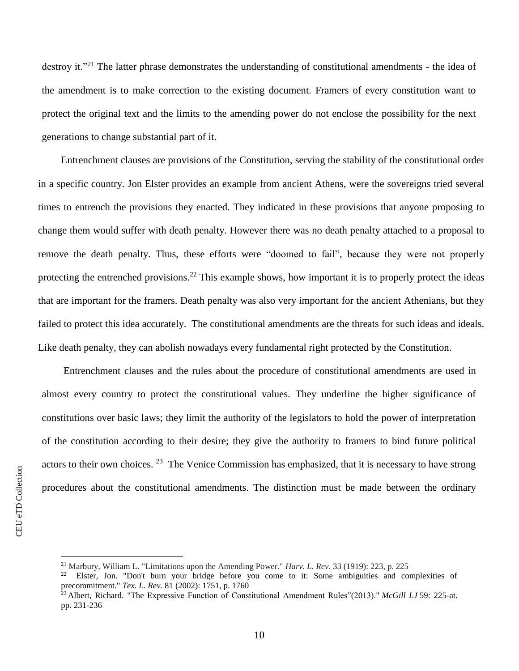destroy it."<sup>21</sup> The latter phrase demonstrates the understanding of constitutional amendments - the idea of the amendment is to make correction to the existing document. Framers of every constitution want to protect the original text and the limits to the amending power do not enclose the possibility for the next generations to change substantial part of it.

Entrenchment clauses are provisions of the Constitution, serving the stability of the constitutional order in a specific country. Jon Elster provides an example from ancient Athens, were the sovereigns tried several times to entrench the provisions they enacted. They indicated in these provisions that anyone proposing to change them would suffer with death penalty. However there was no death penalty attached to a proposal to remove the death penalty. Thus, these efforts were "doomed to fail", because they were not properly protecting the entrenched provisions.<sup>22</sup> This example shows, how important it is to properly protect the ideas that are important for the framers. Death penalty was also very important for the ancient Athenians, but they failed to protect this idea accurately. The constitutional amendments are the threats for such ideas and ideals. Like death penalty, they can abolish nowadays every fundamental right protected by the Constitution.

Entrenchment clauses and the rules about the procedure of constitutional amendments are used in almost every country to protect the constitutional values. They underline the higher significance of constitutions over basic laws; they limit the authority of the legislators to hold the power of interpretation of the constitution according to their desire; they give the authority to framers to bind future political actors to their own choices.  $^{23}$  The Venice Commission has emphasized, that it is necessary to have strong procedures about the constitutional amendments. The distinction must be made between the ordinary

<sup>21</sup> Marbury, William L. "Limitations upon the Amending Power." *Harv. L. Rev.* 33 (1919): 223, p. 225

<sup>&</sup>lt;sup>22</sup> Elster, Jon. "Don't burn your bridge before you come to it: Some ambiguities and complexities of precommitment." *Tex. L. Rev.* 81 (2002): 1751, p. 1760

<sup>23</sup> Albert, Richard. "The Expressive Function of Constitutional Amendment Rules"(2013)." *McGill LJ* 59: 225-at. pp. 231-236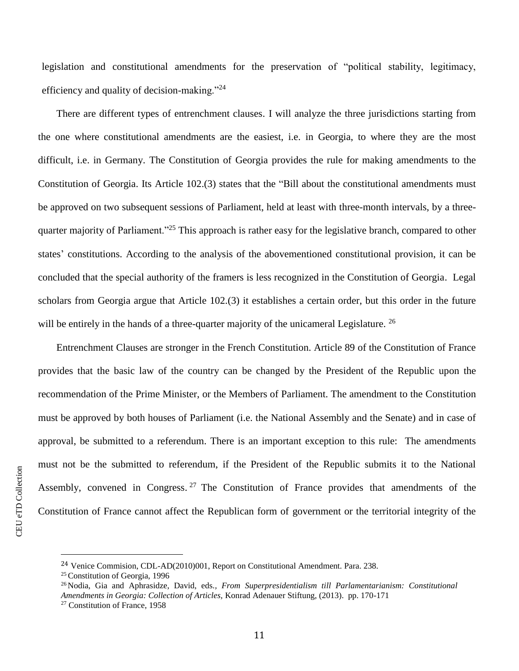legislation and constitutional amendments for the preservation of "political stability, legitimacy, efficiency and quality of decision-making."<sup>24</sup>

There are different types of entrenchment clauses. I will analyze the three jurisdictions starting from the one where constitutional amendments are the easiest, i.e. in Georgia, to where they are the most difficult, i.e. in Germany. The Constitution of Georgia provides the rule for making amendments to the Constitution of Georgia. Its Article 102.(3) states that the "Bill about the constitutional amendments must be approved on two subsequent sessions of Parliament, held at least with three-month intervals, by a threequarter majority of Parliament."<sup>25</sup> This approach is rather easy for the legislative branch, compared to other states' constitutions. According to the analysis of the abovementioned constitutional provision, it can be concluded that the special authority of the framers is less recognized in the Constitution of Georgia. Legal scholars from Georgia argue that Article 102.(3) it establishes a certain order, but this order in the future will be entirely in the hands of a three-quarter majority of the unicameral Legislature.  $^{26}$ 

Entrenchment Clauses are stronger in the French Constitution. Article 89 of the Constitution of France provides that the basic law of the country can be changed by the President of the Republic upon the recommendation of the Prime Minister, or the Members of Parliament. The amendment to the Constitution must be approved by both houses of Parliament (i.e. the National Assembly and the Senate) and in case of approval, be submitted to a referendum. There is an important exception to this rule: The amendments must not be the submitted to referendum, if the President of the Republic submits it to the National Assembly, convened in Congress.<sup>27</sup> The Constitution of France provides that amendments of the Constitution of France cannot affect the Republican form of government or the territorial integrity of the

l

<sup>24</sup> Venice Commision, CDL-AD(2010)001, Report on Constitutional Amendment. Para. 238.

<sup>25</sup> Constitution of Georgia, 1996

<sup>26</sup> Nodia, Gia and Aphrasidze, David, eds*., From Superpresidentialism till Parlamentarianism: Constitutional Amendments in Georgia: Collection of Articles,* Konrad Adenauer Stiftung, (2013). pp. 170-171

<sup>27</sup> Constitution of France, 1958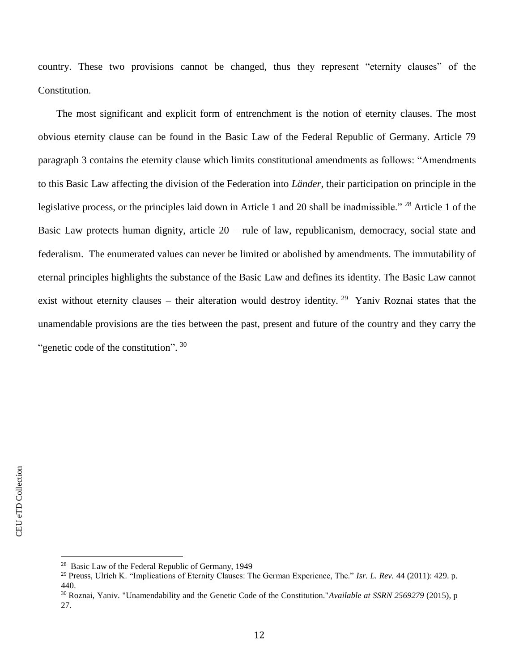country. These two provisions cannot be changed, thus they represent "eternity clauses" of the Constitution.

The most significant and explicit form of entrenchment is the notion of eternity clauses. The most obvious eternity clause can be found in the Basic Law of the Federal Republic of Germany. Article 79 paragraph 3 contains the eternity clause which limits constitutional amendments as follows: "Amendments to this Basic Law affecting the division of the Federation into *Länder*, their participation on principle in the legislative process, or the principles laid down in Article 1 and 20 shall be inadmissible." <sup>28</sup> Article 1 of the Basic Law protects human dignity, article 20 – rule of law, republicanism, democracy, social state and federalism. The enumerated values can never be limited or abolished by amendments. The immutability of eternal principles highlights the substance of the Basic Law and defines its identity. The Basic Law cannot exist without eternity clauses – their alteration would destroy identity. <sup>29</sup> Yaniv Roznai states that the unamendable provisions are the ties between the past, present and future of the country and they carry the "genetic code of the constitution".  $30$ 

<sup>&</sup>lt;sup>28</sup> Basic Law of the Federal Republic of Germany, 1949

<sup>29</sup> Preuss, Ulrich K. "Implications of Eternity Clauses: The German Experience, The." *Isr. L. Rev.* 44 (2011): 429. p. 440.

<sup>30</sup> Roznai, Yaniv. "Unamendability and the Genetic Code of the Constitution."*Available at SSRN 2569279* (2015), p 27.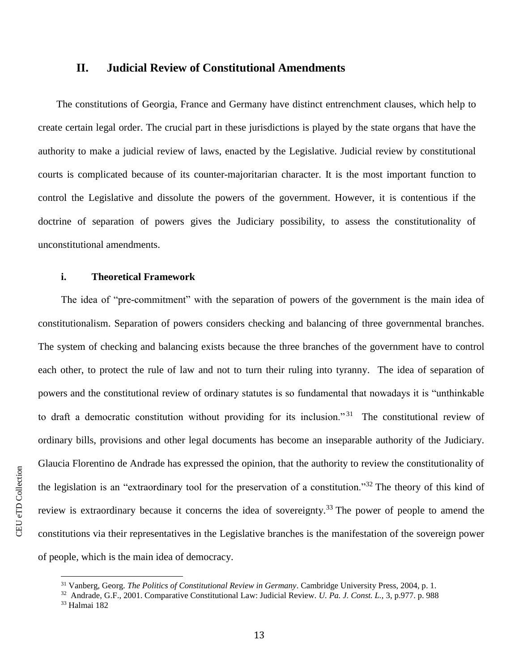# **II. Judicial Review of Constitutional Amendments**

The constitutions of Georgia, France and Germany have distinct entrenchment clauses, which help to create certain legal order. The crucial part in these jurisdictions is played by the state organs that have the authority to make a judicial review of laws, enacted by the Legislative. Judicial review by constitutional courts is complicated because of its counter-majoritarian character. It is the most important function to control the Legislative and dissolute the powers of the government. However, it is contentious if the doctrine of separation of powers gives the Judiciary possibility, to assess the constitutionality of unconstitutional amendments.

## **i. Theoretical Framework**

The idea of "pre-commitment" with the separation of powers of the government is the main idea of constitutionalism. Separation of powers considers checking and balancing of three governmental branches. The system of checking and balancing exists because the three branches of the government have to control each other, to protect the rule of law and not to turn their ruling into tyranny. The idea of separation of powers and the constitutional review of ordinary statutes is so fundamental that nowadays it is "unthinkable to draft a democratic constitution without providing for its inclusion."<sup>31</sup> The constitutional review of ordinary bills, provisions and other legal documents has become an inseparable authority of the Judiciary. Glaucia Florentino de Andrade has expressed the opinion, that the authority to review the constitutionality of the legislation is an "extraordinary tool for the preservation of a constitution."<sup>32</sup> The theory of this kind of review is extraordinary because it concerns the idea of sovereignty.<sup>33</sup> The power of people to amend the constitutions via their representatives in the Legislative branches is the manifestation of the sovereign power of people, which is the main idea of democracy.

 $\overline{a}$ 

CEU eTD Collection CEU eTD Collection

<sup>31</sup> Vanberg, Georg. *The Politics of Constitutional Review in Germany*. Cambridge University Press, 2004, p. 1.

<sup>32</sup> Andrade, G.F., 2001. Comparative Constitutional Law: Judicial Review. *U. Pa. J. Const. L.,* 3, p.977. p. 988

<sup>33</sup> Halmai 182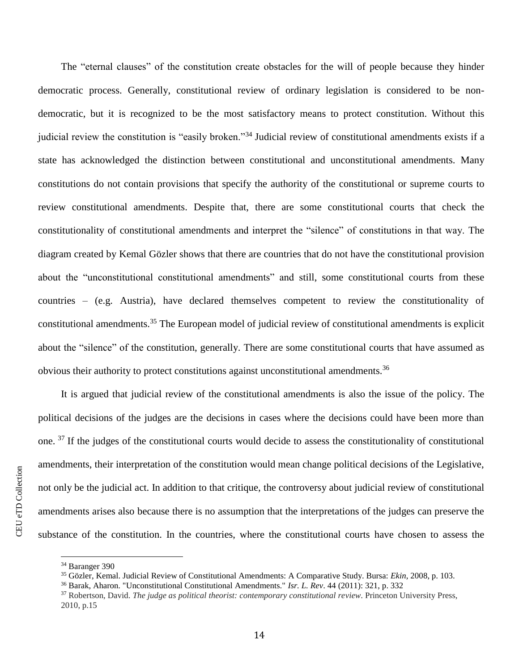The "eternal clauses" of the constitution create obstacles for the will of people because they hinder democratic process. Generally, constitutional review of ordinary legislation is considered to be nondemocratic, but it is recognized to be the most satisfactory means to protect constitution. Without this judicial review the constitution is "easily broken."<sup>34</sup> Judicial review of constitutional amendments exists if a state has acknowledged the distinction between constitutional and unconstitutional amendments. Many constitutions do not contain provisions that specify the authority of the constitutional or supreme courts to review constitutional amendments. Despite that, there are some constitutional courts that check the constitutionality of constitutional amendments and interpret the "silence" of constitutions in that way. The diagram created by Kemal Gözler shows that there are countries that do not have the constitutional provision about the "unconstitutional constitutional amendments" and still, some constitutional courts from these countries – (e.g. Austria), have declared themselves competent to review the constitutionality of constitutional amendments.<sup>35</sup> The European model of judicial review of constitutional amendments is explicit about the "silence" of the constitution, generally. There are some constitutional courts that have assumed as obvious their authority to protect constitutions against unconstitutional amendments.<sup>36</sup>

It is argued that judicial review of the constitutional amendments is also the issue of the policy. The political decisions of the judges are the decisions in cases where the decisions could have been more than one. <sup>37</sup> If the judges of the constitutional courts would decide to assess the constitutionality of constitutional amendments, their interpretation of the constitution would mean change political decisions of the Legislative, not only be the judicial act. In addition to that critique, the controversy about judicial review of constitutional amendments arises also because there is no assumption that the interpretations of the judges can preserve the substance of the constitution. In the countries, where the constitutional courts have chosen to assess the

<sup>34</sup> Baranger 390

<sup>35</sup> Gözler, Kemal. Judicial Review of Constitutional Amendments: A Comparative Study. Bursa: *Ekin*, 2008, p. 103.

<sup>36</sup> Barak, Aharon. "Unconstitutional Constitutional Amendments." *Isr. L. Rev*. 44 (2011): 321, p. 332

<sup>37</sup> Robertson, David. *The judge as political theorist: contemporary constitutional review*. Princeton University Press, 2010, p.15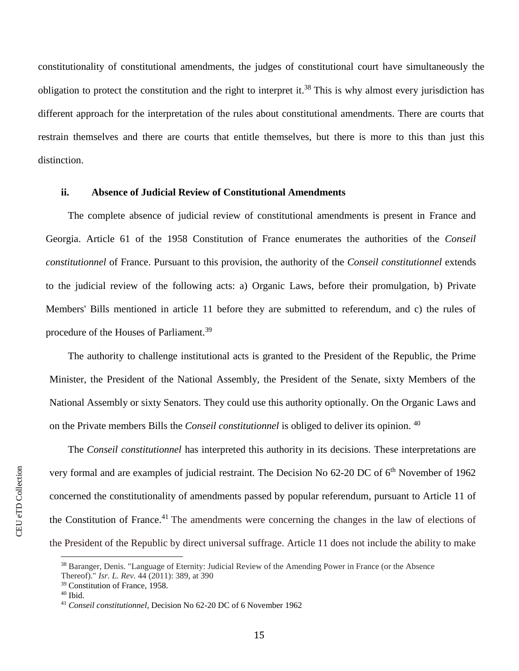constitutionality of constitutional amendments, the judges of constitutional court have simultaneously the obligation to protect the constitution and the right to interpret it.<sup>38</sup> This is why almost every jurisdiction has different approach for the interpretation of the rules about constitutional amendments. There are courts that restrain themselves and there are courts that entitle themselves, but there is more to this than just this distinction.

#### **ii. Absence of Judicial Review of Constitutional Amendments**

The complete absence of judicial review of constitutional amendments is present in France and Georgia. Article 61 of the 1958 Constitution of France enumerates the authorities of the *Conseil constitutionnel* of France. Pursuant to this provision, the authority of the *Conseil constitutionnel* extends to the judicial review of the following acts: a) Organic Laws, before their promulgation, b) Private Members' Bills mentioned in article 11 before they are submitted to referendum, and c) the rules of procedure of the Houses of Parliament.<sup>39</sup>

The authority to challenge institutional acts is granted to the President of the Republic, the Prime Minister, the President of the National Assembly, the President of the Senate, sixty Members of the National Assembly or sixty Senators. They could use this authority optionally. On the Organic Laws and on the Private members Bills the *Conseil constitutionnel* is obliged to deliver its opinion. <sup>40</sup>

The *Conseil constitutionnel* has interpreted this authority in its decisions. These interpretations are very formal and are examples of judicial restraint. The Decision No 62-20 DC of 6<sup>th</sup> November of 1962 concerned the constitutionality of amendments passed by popular referendum, pursuant to Article 11 of the Constitution of France.<sup>41</sup> The amendments were concerning the changes in the law of elections of the President of the Republic by direct universal suffrage. Article 11 does not include the ability to make

<sup>38</sup> Baranger, Denis. "Language of Eternity: Judicial Review of the Amending Power in France (or the Absence Thereof)." *Isr. L. Rev.* 44 (2011): 389, at 390

<sup>39</sup> Constitution of France, 1958.

 $40$  Ibid.

<sup>41</sup> *Conseil constitutionnel,* Decision No 62-20 DC of 6 November 1962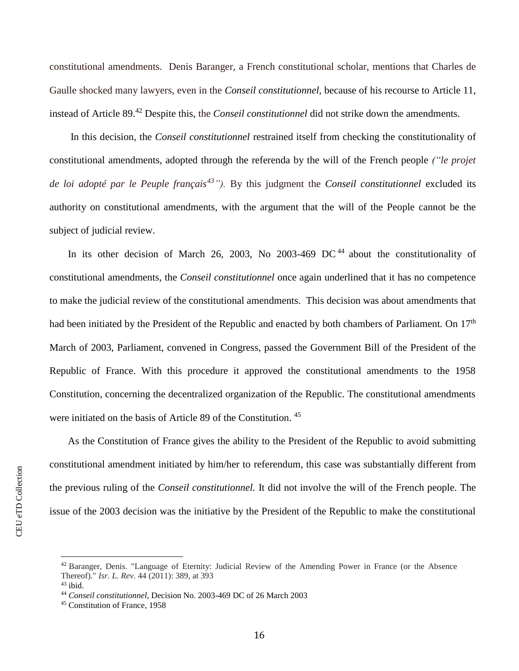constitutional amendments. Denis Baranger, a French constitutional scholar, mentions that Charles de Gaulle shocked many lawyers, even in the *Conseil constitutionnel,* because of his recourse to Article 11, instead of Article 89.<sup>42</sup> Despite this, the *Conseil constitutionnel* did not strike down the amendments.

In this decision, the *Conseil constitutionnel* restrained itself from checking the constitutionality of constitutional amendments, adopted through the referenda by the will of the French people *("le projet de loi adopté par le Peuple français<sup>43</sup>").* By this judgment the *Conseil constitutionnel* excluded its authority on constitutional amendments, with the argument that the will of the People cannot be the subject of judicial review.

In its other decision of March 26, 2003, No 2003-469 DC<sup>44</sup> about the constitutionality of constitutional amendments, the *Conseil constitutionnel* once again underlined that it has no competence to make the judicial review of the constitutional amendments. This decision was about amendments that had been initiated by the President of the Republic and enacted by both chambers of Parliament*.* On 17th March of 2003, Parliament, convened in Congress, passed the Government Bill of the President of the Republic of France. With this procedure it approved the constitutional amendments to the 1958 Constitution, concerning the decentralized organization of the Republic. The constitutional amendments were initiated on the basis of Article 89 of the Constitution. <sup>45</sup>

As the Constitution of France gives the ability to the President of the Republic to avoid submitting constitutional amendment initiated by him/her to referendum, this case was substantially different from the previous ruling of the *Conseil constitutionnel.* It did not involve the will of the French people. The issue of the 2003 decision was the initiative by the President of the Republic to make the constitutional

<sup>42</sup> Baranger, Denis. "Language of Eternity: Judicial Review of the Amending Power in France (or the Absence Thereof)." *Isr. L. Rev.* 44 (2011): 389, at 393

 $43$  ibid.

<sup>44</sup> *Conseil constitutionnel*, Decision No. 2003-469 DC of 26 March 2003

<sup>45</sup> Constitution of France, 1958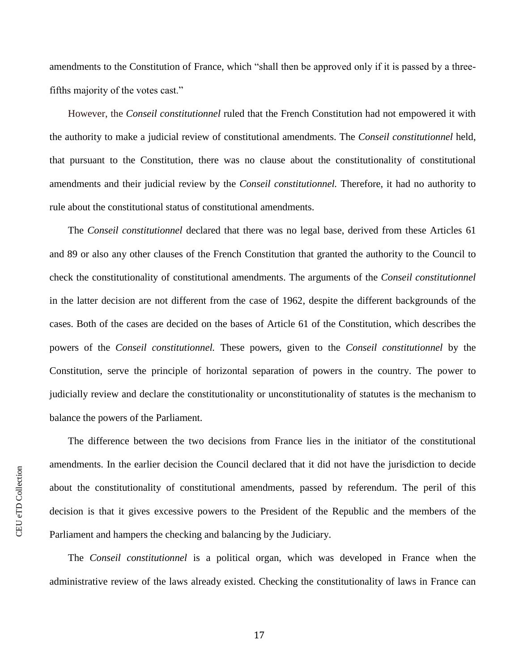amendments to the Constitution of France, which "shall then be approved only if it is passed by a threefifths majority of the votes cast."

However, the *Conseil constitutionnel* ruled that the French Constitution had not empowered it with the authority to make a judicial review of constitutional amendments. The *Conseil constitutionnel* held, that pursuant to the Constitution, there was no clause about the constitutionality of constitutional amendments and their judicial review by the *Conseil constitutionnel.* Therefore, it had no authority to rule about the constitutional status of constitutional amendments.

The *Conseil constitutionnel* declared that there was no legal base, derived from these Articles 61 and 89 or also any other clauses of the French Constitution that granted the authority to the Council to check the constitutionality of constitutional amendments. The arguments of the *Conseil constitutionnel*  in the latter decision are not different from the case of 1962, despite the different backgrounds of the cases. Both of the cases are decided on the bases of Article 61 of the Constitution, which describes the powers of the *Conseil constitutionnel.* These powers, given to the *Conseil constitutionnel* by the Constitution, serve the principle of horizontal separation of powers in the country. The power to judicially review and declare the constitutionality or unconstitutionality of statutes is the mechanism to balance the powers of the Parliament.

The difference between the two decisions from France lies in the initiator of the constitutional amendments. In the earlier decision the Council declared that it did not have the jurisdiction to decide about the constitutionality of constitutional amendments, passed by referendum. The peril of this decision is that it gives excessive powers to the President of the Republic and the members of the Parliament and hampers the checking and balancing by the Judiciary.

The *Conseil constitutionnel* is a political organ, which was developed in France when the administrative review of the laws already existed. Checking the constitutionality of laws in France can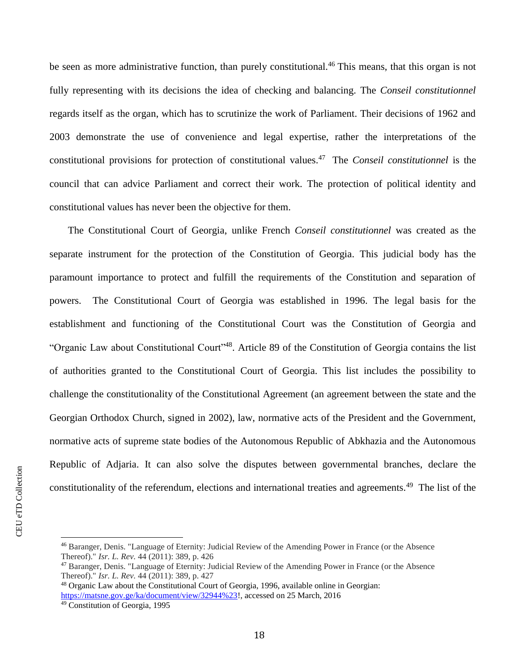be seen as more administrative function, than purely constitutional.<sup>46</sup> This means, that this organ is not fully representing with its decisions the idea of checking and balancing. The *Conseil constitutionnel* regards itself as the organ, which has to scrutinize the work of Parliament. Their decisions of 1962 and 2003 demonstrate the use of convenience and legal expertise, rather the interpretations of the constitutional provisions for protection of constitutional values.<sup>47</sup> The *Conseil constitutionnel* is the council that can advice Parliament and correct their work. The protection of political identity and constitutional values has never been the objective for them.

The Constitutional Court of Georgia, unlike French *Conseil constitutionnel* was created as the separate instrument for the protection of the Constitution of Georgia. This judicial body has the paramount importance to protect and fulfill the requirements of the Constitution and separation of powers. The Constitutional Court of Georgia was established in 1996. The legal basis for the establishment and functioning of the Constitutional Court was the Constitution of Georgia and "Organic Law about Constitutional Court"<sup>48</sup>. Article 89 of the Constitution of Georgia contains the list of authorities granted to the Constitutional Court of Georgia. This list includes the possibility to challenge the constitutionality of the Constitutional Agreement (an agreement between the state and the Georgian Orthodox Church, signed in 2002), law, normative acts of the President and the Government, normative acts of supreme state bodies of the Autonomous Republic of Abkhazia and the Autonomous Republic of Adjaria. It can also solve the disputes between governmental branches, declare the constitutionality of the referendum, elections and international treaties and agreements.<sup>49</sup> The list of the

<sup>46</sup> Baranger, Denis. "Language of Eternity: Judicial Review of the Amending Power in France (or the Absence Thereof)." *Isr. L. Rev.* 44 (2011): 389, p. 426

<sup>47</sup> Baranger, Denis. "Language of Eternity: Judicial Review of the Amending Power in France (or the Absence Thereof)." *Isr. L. Rev.* 44 (2011): 389, p. 427

<sup>48</sup> Organic Law about the Constitutional Court of Georgia, 1996, available online in Georgian: [https://matsne.gov.ge/ka/document/view/32944%23!](https://matsne.gov.ge/ka/document/view/32944%23), accessed on 25 March, 2016

<sup>49</sup> Constitution of Georgia, 1995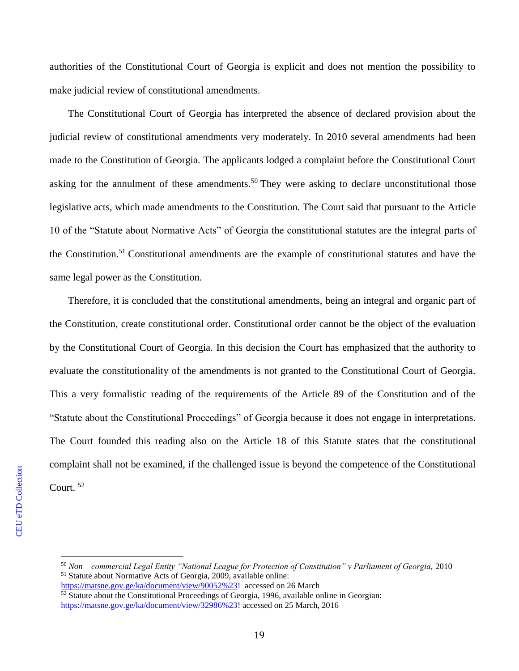authorities of the Constitutional Court of Georgia is explicit and does not mention the possibility to make judicial review of constitutional amendments.

The Constitutional Court of Georgia has interpreted the absence of declared provision about the judicial review of constitutional amendments very moderately. In 2010 several amendments had been made to the Constitution of Georgia. The applicants lodged a complaint before the Constitutional Court asking for the annulment of these amendments.<sup>50</sup> They were asking to declare unconstitutional those legislative acts, which made amendments to the Constitution. The Court said that pursuant to the Article 10 of the "Statute about Normative Acts" of Georgia the constitutional statutes are the integral parts of the Constitution.<sup>51</sup> Constitutional amendments are the example of constitutional statutes and have the same legal power as the Constitution.

Therefore, it is concluded that the constitutional amendments, being an integral and organic part of the Constitution, create constitutional order. Constitutional order cannot be the object of the evaluation by the Constitutional Court of Georgia. In this decision the Court has emphasized that the authority to evaluate the constitutionality of the amendments is not granted to the Constitutional Court of Georgia. This a very formalistic reading of the requirements of the Article 89 of the Constitution and of the "Statute about the Constitutional Proceedings" of Georgia because it does not engage in interpretations. The Court founded this reading also on the Article 18 of this Statute states that the constitutional complaint shall not be examined, if the challenged issue is beyond the competence of the Constitutional Court. <sup>52</sup>

<sup>50</sup> *Non – commercial Legal Entity "National League for Protection of Constitution" v Parliament of Georgia,* 2010 <sup>51</sup> Statute about Normative Acts of Georgia, 2009, available online:

[https://matsne.gov.ge/ka/document/view/90052%23!](https://matsne.gov.ge/ka/document/view/90052%23) accessed on 26 March  $\frac{52 \text{ Statute about the Constitutional Proceedings of Georgia, 1996, available online in Georgia.}$ 

[https://matsne.gov.ge/ka/document/view/32986%23!](https://matsne.gov.ge/ka/document/view/32986%23) accessed on 25 March, 2016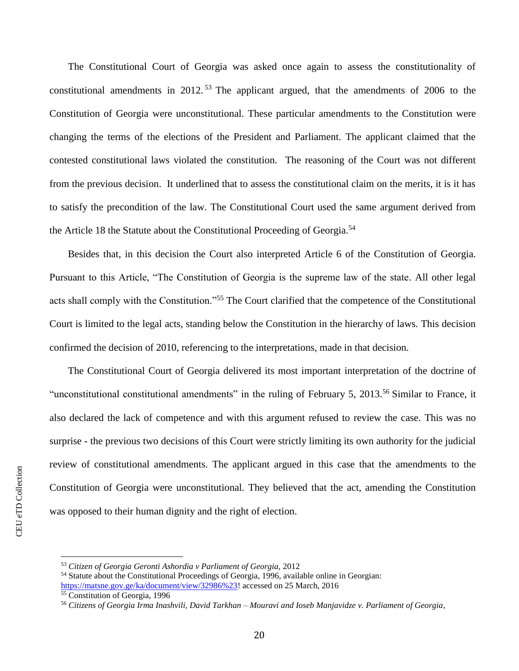The Constitutional Court of Georgia was asked once again to assess the constitutionality of constitutional amendments in 2012.<sup>53</sup> The applicant argued, that the amendments of 2006 to the Constitution of Georgia were unconstitutional. These particular amendments to the Constitution were changing the terms of the elections of the President and Parliament. The applicant claimed that the contested constitutional laws violated the constitution. The reasoning of the Court was not different from the previous decision. It underlined that to assess the constitutional claim on the merits, it is it has to satisfy the precondition of the law. The Constitutional Court used the same argument derived from the Article 18 the Statute about the Constitutional Proceeding of Georgia.<sup>54</sup>

Besides that, in this decision the Court also interpreted Article 6 of the Constitution of Georgia. Pursuant to this Article, "The Constitution of Georgia is the supreme law of the state. All other legal acts shall comply with the Constitution."<sup>55</sup> The Court clarified that the competence of the Constitutional Court is limited to the legal acts, standing below the Constitution in the hierarchy of laws. This decision confirmed the decision of 2010, referencing to the interpretations, made in that decision.

The Constitutional Court of Georgia delivered its most important interpretation of the doctrine of "unconstitutional constitutional amendments" in the ruling of February 5, 2013.<sup>56</sup> Similar to France, it also declared the lack of competence and with this argument refused to review the case. This was no surprise - the previous two decisions of this Court were strictly limiting its own authority for the judicial review of constitutional amendments. The applicant argued in this case that the amendments to the Constitution of Georgia were unconstitutional. They believed that the act, amending the Constitution was opposed to their human dignity and the right of election.

<sup>53</sup> *Citizen of Georgia Geronti Ashordia v Parliament of Georgia,* 2012

<sup>54</sup> Statute about the Constitutional Proceedings of Georgia, 1996, available online in Georgian: [https://matsne.gov.ge/ka/document/view/32986%23!](https://matsne.gov.ge/ka/document/view/32986%23) accessed on 25 March, 2016

<sup>&</sup>lt;sup>55</sup> Constitution of Georgia, 1996

<sup>56</sup> *Citizens of Georgia Irma Inashvili, David Tarkhan – Mouravi and Ioseb Manjavidze v. Parliament of Georgia*,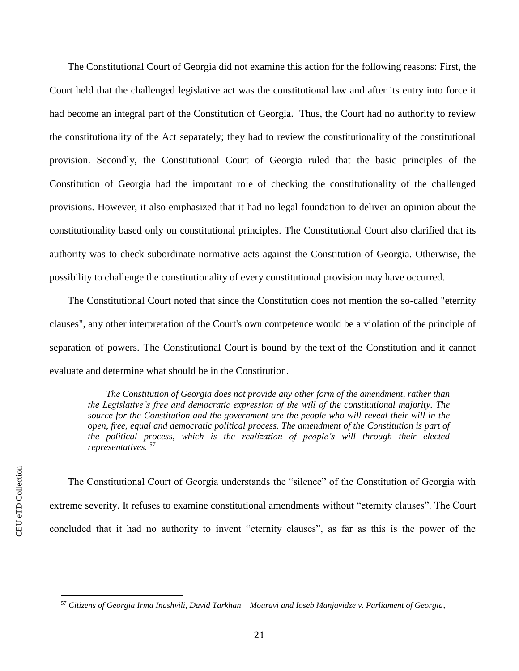The Constitutional Court of Georgia did not examine this action for the following reasons: First, the Court held that the challenged legislative act was the constitutional law and after its entry into force it had become an integral part of the Constitution of Georgia. Thus, the Court had no authority to review the constitutionality of the Act separately; they had to review the constitutionality of the constitutional provision. Secondly, the Constitutional Court of Georgia ruled that the basic principles of the Constitution of Georgia had the important role of checking the constitutionality of the challenged provisions. However, it also emphasized that it had no legal foundation to deliver an opinion about the constitutionality based only on constitutional principles. The Constitutional Court also clarified that its authority was to check subordinate normative acts against the Constitution of Georgia. Otherwise, the possibility to challenge the constitutionality of every constitutional provision may have occurred.

The Constitutional Court noted that since the Constitution does not mention the so-called "eternity clauses", any other interpretation of the Court's own competence would be a violation of the principle of separation of powers. The Constitutional Court is bound by the text of the Constitution and it cannot evaluate and determine what should be in the Constitution.

*The Constitution of Georgia does not provide any other form of the amendment, rather than the Legislative's free and democratic expression of the will of the constitutional majority. The source for the Constitution and the government are the people who will reveal their will in the open, free, equal and democratic political process. The amendment of the Constitution is part of the political process, which is the realization of people's will through their elected representatives. 57*

The Constitutional Court of Georgia understands the "silence" of the Constitution of Georgia with extreme severity. It refuses to examine constitutional amendments without "eternity clauses". The Court concluded that it had no authority to invent "eternity clauses", as far as this is the power of the

<sup>57</sup> *Citizens of Georgia Irma Inashvili, David Tarkhan – Mouravi and Ioseb Manjavidze v. Parliament of Georgia*,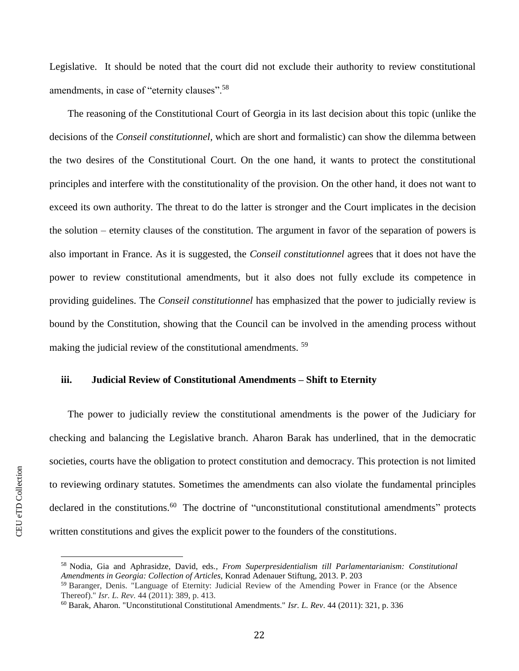Legislative. It should be noted that the court did not exclude their authority to review constitutional amendments, in case of "eternity clauses".<sup>58</sup>

The reasoning of the Constitutional Court of Georgia in its last decision about this topic (unlike the decisions of the *Conseil constitutionnel,* which are short and formalistic) can show the dilemma between the two desires of the Constitutional Court. On the one hand, it wants to protect the constitutional principles and interfere with the constitutionality of the provision. On the other hand, it does not want to exceed its own authority. The threat to do the latter is stronger and the Court implicates in the decision the solution – eternity clauses of the constitution. The argument in favor of the separation of powers is also important in France. As it is suggested, the *Conseil constitutionnel* agrees that it does not have the power to review constitutional amendments, but it also does not fully exclude its competence in providing guidelines. The *Conseil constitutionnel* has emphasized that the power to judicially review is bound by the Constitution, showing that the Council can be involved in the amending process without making the judicial review of the constitutional amendments.<sup>59</sup>

# **iii. Judicial Review of Constitutional Amendments – Shift to Eternity**

The power to judicially review the constitutional amendments is the power of the Judiciary for checking and balancing the Legislative branch. Aharon Barak has underlined, that in the democratic societies, courts have the obligation to protect constitution and democracy. This protection is not limited to reviewing ordinary statutes. Sometimes the amendments can also violate the fundamental principles declared in the constitutions.<sup>60</sup> The doctrine of "unconstitutional constitutional amendments" protects written constitutions and gives the explicit power to the founders of the constitutions.

<sup>58</sup> Nodia, Gia and Aphrasidze, David, eds*., From Superpresidentialism till Parlamentarianism: Constitutional Amendments in Georgia: Collection of Articles,* Konrad Adenauer Stiftung, 2013. P. 203

<sup>59</sup> Baranger, Denis. "Language of Eternity: Judicial Review of the Amending Power in France (or the Absence Thereof)." *Isr. L. Rev.* 44 (2011): 389, p. 413.

<sup>60</sup> Barak, Aharon. "Unconstitutional Constitutional Amendments." *Isr. L. Rev*. 44 (2011): 321, p. 336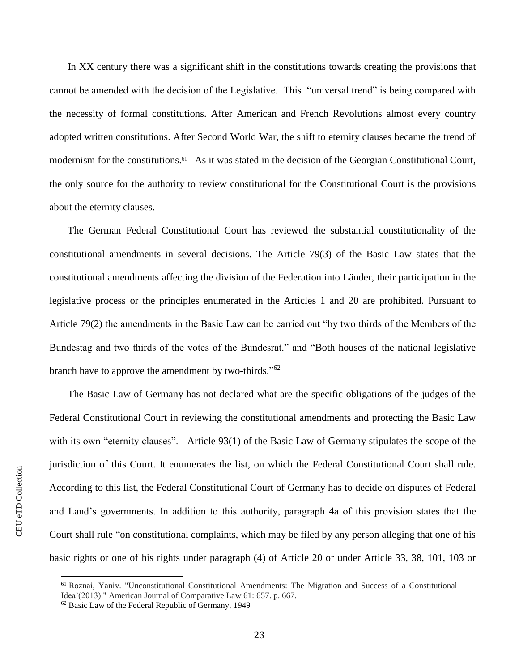In XX century there was a significant shift in the constitutions towards creating the provisions that cannot be amended with the decision of the Legislative. This "universal trend" is being compared with the necessity of formal constitutions. After American and French Revolutions almost every country adopted written constitutions. After Second World War, the shift to eternity clauses became the trend of modernism for the constitutions.<sup>61</sup> As it was stated in the decision of the Georgian Constitutional Court, the only source for the authority to review constitutional for the Constitutional Court is the provisions about the eternity clauses.

The German Federal Constitutional Court has reviewed the substantial constitutionality of the constitutional amendments in several decisions. The Article 79(3) of the Basic Law states that the constitutional amendments affecting the division of the Federation into Länder, their participation in the legislative process or the principles enumerated in the Articles 1 and 20 are prohibited. Pursuant to Article 79(2) the amendments in the Basic Law can be carried out "by two thirds of the Members of the Bundestag and two thirds of the votes of the Bundesrat." and "Both houses of the national legislative branch have to approve the amendment by two-thirds."<sup>62</sup>

The Basic Law of Germany has not declared what are the specific obligations of the judges of the Federal Constitutional Court in reviewing the constitutional amendments and protecting the Basic Law with its own "eternity clauses". Article 93(1) of the Basic Law of Germany stipulates the scope of the jurisdiction of this Court. It enumerates the list, on which the Federal Constitutional Court shall rule. According to this list, the Federal Constitutional Court of Germany has to decide on disputes of Federal and Land's governments. In addition to this authority, paragraph 4a of this provision states that the Court shall rule "on constitutional complaints, which may be filed by any person alleging that one of his basic rights or one of his rights under paragraph (4) of Article 20 or under Article 33, 38, 101, 103 or

<sup>61</sup> Roznai, Yaniv. "Unconstitutional Constitutional Amendments: The Migration and Success of a Constitutional Idea'(2013)." American Journal of Comparative Law 61: 657. p. 667.

<sup>62</sup> Basic Law of the Federal Republic of Germany, 1949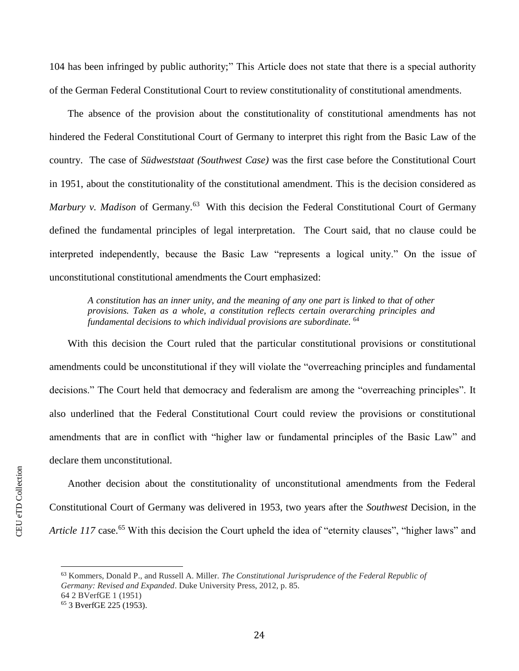104 has been infringed by public authority;" This Article does not state that there is a special authority of the German Federal Constitutional Court to review constitutionality of constitutional amendments.

The absence of the provision about the constitutionality of constitutional amendments has not hindered the Federal Constitutional Court of Germany to interpret this right from the Basic Law of the country. The case of *Südweststaat (Southwest Case)* was the first case before the Constitutional Court in 1951, about the constitutionality of the constitutional amendment. This is the decision considered as Marbury v. Madison of Germany.<sup>63</sup> With this decision the Federal Constitutional Court of Germany defined the fundamental principles of legal interpretation. The Court said, that no clause could be interpreted independently, because the Basic Law "represents a logical unity." On the issue of unconstitutional constitutional amendments the Court emphasized:

*A constitution has an inner unity, and the meaning of any one part is linked to that of other provisions. Taken as a whole, a constitution reflects certain overarching principles and fundamental decisions to which individual provisions are subordinate.* <sup>64</sup>

With this decision the Court ruled that the particular constitutional provisions or constitutional amendments could be unconstitutional if they will violate the "overreaching principles and fundamental decisions." The Court held that democracy and federalism are among the "overreaching principles". It also underlined that the Federal Constitutional Court could review the provisions or constitutional amendments that are in conflict with "higher law or fundamental principles of the Basic Law" and declare them unconstitutional.

Another decision about the constitutionality of unconstitutional amendments from the Federal Constitutional Court of Germany was delivered in 1953, two years after the *Southwest* Decision, in the *Article 117* case.<sup>65</sup> With this decision the Court upheld the idea of "eternity clauses", "higher laws" and

<sup>63</sup> Kommers, Donald P., and Russell A. Miller. *The Constitutional Jurisprudence of the Federal Republic of Germany: Revised and Expanded*. Duke University Press, 2012, p. 85. 64 2 BVerfGE 1 (1951)

<sup>65</sup> 3 BverfGE 225 (1953).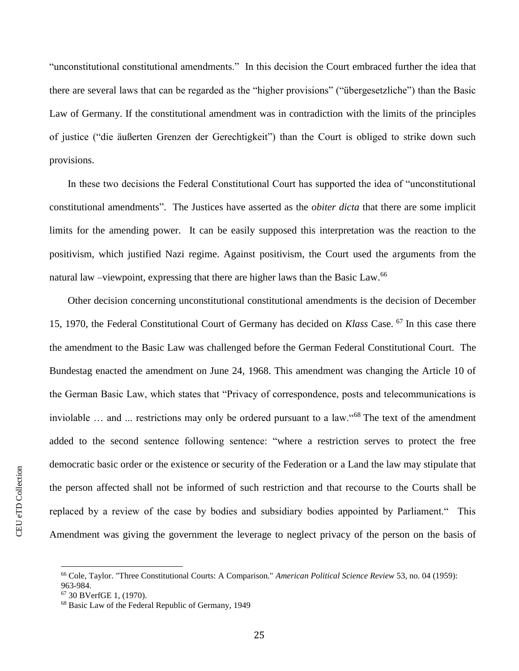"unconstitutional constitutional amendments." In this decision the Court embraced further the idea that there are several laws that can be regarded as the "higher provisions" ("übergesetzliche") than the Basic Law of Germany. If the constitutional amendment was in contradiction with the limits of the principles of justice ("die äußerten Grenzen der Gerechtigkeit") than the Court is obliged to strike down such provisions.

In these two decisions the Federal Constitutional Court has supported the idea of "unconstitutional constitutional amendments". The Justices have asserted as the *obiter dicta* that there are some implicit limits for the amending power. It can be easily supposed this interpretation was the reaction to the positivism, which justified Nazi regime. Against positivism, the Court used the arguments from the natural law -viewpoint, expressing that there are higher laws than the Basic Law.<sup>66</sup>

Other decision concerning unconstitutional constitutional amendments is the decision of December 15, 1970, the Federal Constitutional Court of Germany has decided on *Klass* Case. <sup>67</sup> In this case there the amendment to the Basic Law was challenged before the German Federal Constitutional Court. The Bundestag enacted the amendment on June 24, 1968. This amendment was changing the Article 10 of the German Basic Law, which states that "Privacy of correspondence, posts and telecommunications is inviolable … and ... restrictions may only be ordered pursuant to a law."<sup>68</sup> The text of the amendment added to the second sentence following sentence: "where a restriction serves to protect the free democratic basic order or the existence or security of the Federation or a Land the law may stipulate that the person affected shall not be informed of such restriction and that recourse to the Courts shall be replaced by a review of the case by bodies and subsidiary bodies appointed by Parliament." This Amendment was giving the government the leverage to neglect privacy of the person on the basis of

<sup>66</sup> Cole, Taylor. "Three Constitutional Courts: A Comparison." *American Political Science Review* 53, no. 04 (1959): 963-984.

<sup>67</sup> 30 BVerfGE 1, (1970).

<sup>68</sup> Basic Law of the Federal Republic of Germany, 1949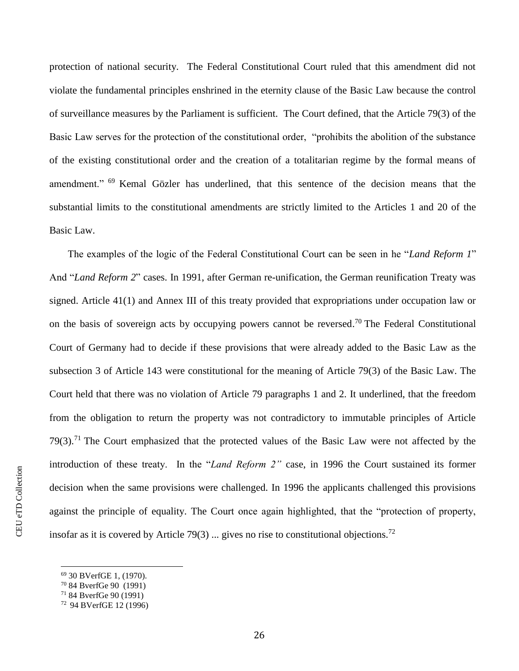protection of national security. The Federal Constitutional Court ruled that this amendment did not violate the fundamental principles enshrined in the eternity clause of the Basic Law because the control of surveillance measures by the Parliament is sufficient. The Court defined, that the Article 79(3) of the Basic Law serves for the protection of the constitutional order, "prohibits the abolition of the substance of the existing constitutional order and the creation of a totalitarian regime by the formal means of amendment." <sup>69</sup> Kemal Gözler has underlined, that this sentence of the decision means that the substantial limits to the constitutional amendments are strictly limited to the Articles 1 and 20 of the Basic Law.

The examples of the logic of the Federal Constitutional Court can be seen in he "*Land Reform 1*" And "*Land Reform 2*" cases. In 1991, after German re-unification, the German reunification Treaty was signed. Article 41(1) and Annex III of this treaty provided that expropriations under occupation law or on the basis of sovereign acts by occupying powers cannot be reversed.<sup>70</sup> The Federal Constitutional Court of Germany had to decide if these provisions that were already added to the Basic Law as the subsection 3 of Article 143 were constitutional for the meaning of Article 79(3) of the Basic Law. The Court held that there was no violation of Article 79 paragraphs 1 and 2. It underlined, that the freedom from the obligation to return the property was not contradictory to immutable principles of Article 79(3).<sup>71</sup> The Court emphasized that the protected values of the Basic Law were not affected by the introduction of these treaty. In the "*Land Reform 2"* case, in 1996 the Court sustained its former decision when the same provisions were challenged. In 1996 the applicants challenged this provisions against the principle of equality. The Court once again highlighted, that the "protection of property, insofar as it is covered by Article 79(3) ... gives no rise to constitutional objections.<sup>72</sup>

<sup>69</sup> 30 BVerfGE 1, (1970).

<sup>70</sup> 84 BverfGe 90 (1991)

<sup>71</sup> 84 BverfGe 90 (1991)

<sup>72</sup> 94 BVerfGE 12 (1996)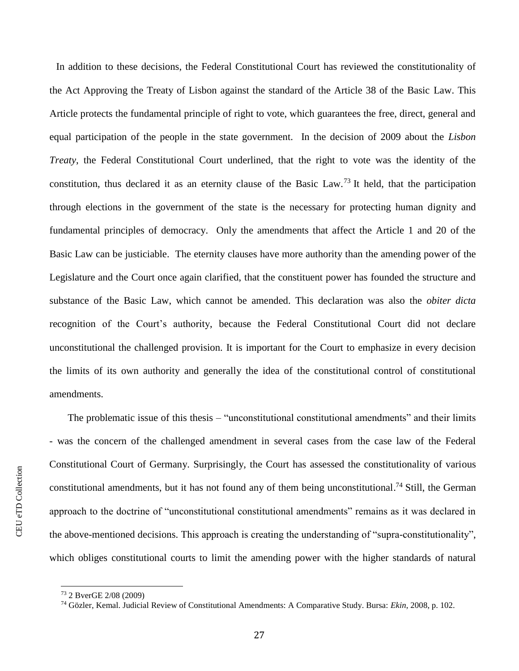In addition to these decisions, the Federal Constitutional Court has reviewed the constitutionality of the Act Approving the Treaty of Lisbon against the standard of the Article 38 of the Basic Law. This Article protects the fundamental principle of right to vote, which guarantees the free, direct, general and equal participation of the people in the state government. In the decision of 2009 about the *Lisbon Treaty*, the Federal Constitutional Court underlined, that the right to vote was the identity of the constitution, thus declared it as an eternity clause of the Basic Law.<sup>73</sup> It held, that the participation through elections in the government of the state is the necessary for protecting human dignity and fundamental principles of democracy. Only the amendments that affect the Article 1 and 20 of the Basic Law can be justiciable. The eternity clauses have more authority than the amending power of the Legislature and the Court once again clarified, that the constituent power has founded the structure and substance of the Basic Law, which cannot be amended. This declaration was also the *obiter dicta* recognition of the Court's authority, because the Federal Constitutional Court did not declare unconstitutional the challenged provision. It is important for the Court to emphasize in every decision the limits of its own authority and generally the idea of the constitutional control of constitutional amendments.

The problematic issue of this thesis – "unconstitutional constitutional amendments" and their limits - was the concern of the challenged amendment in several cases from the case law of the Federal Constitutional Court of Germany. Surprisingly, the Court has assessed the constitutionality of various constitutional amendments, but it has not found any of them being unconstitutional.<sup>74</sup> Still, the German approach to the doctrine of "unconstitutional constitutional amendments" remains as it was declared in the above-mentioned decisions. This approach is creating the understanding of "supra-constitutionality", which obliges constitutional courts to limit the amending power with the higher standards of natural

l

<sup>73</sup> 2 BverGE 2/08 (2009)

<sup>74</sup> Gözler, Kemal. Judicial Review of Constitutional Amendments: A Comparative Study. Bursa: *Ekin*, 2008, p. 102.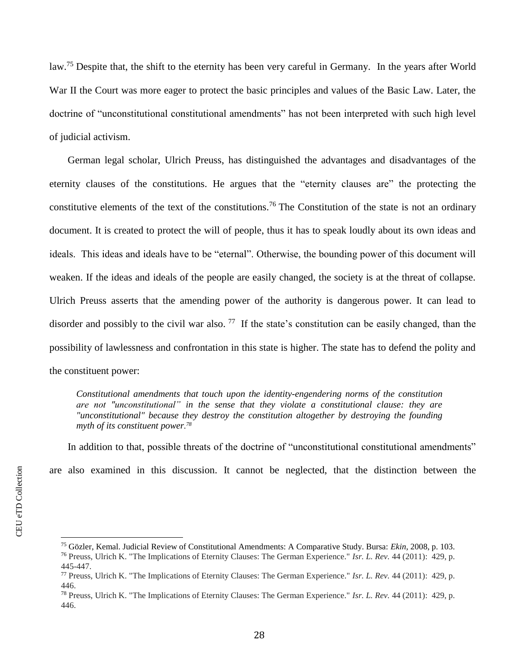law.<sup>75</sup> Despite that, the shift to the eternity has been very careful in Germany. In the years after World War II the Court was more eager to protect the basic principles and values of the Basic Law. Later, the doctrine of "unconstitutional constitutional amendments" has not been interpreted with such high level of judicial activism.

German legal scholar, Ulrich Preuss, has distinguished the advantages and disadvantages of the eternity clauses of the constitutions. He argues that the "eternity clauses are" the protecting the constitutive elements of the text of the constitutions.<sup>76</sup> The Constitution of the state is not an ordinary document. It is created to protect the will of people, thus it has to speak loudly about its own ideas and ideals. This ideas and ideals have to be "eternal". Otherwise, the bounding power of this document will weaken. If the ideas and ideals of the people are easily changed, the society is at the threat of collapse. Ulrich Preuss asserts that the amending power of the authority is dangerous power. It can lead to disorder and possibly to the civil war also.  $^{77}$  If the state's constitution can be easily changed, than the possibility of lawlessness and confrontation in this state is higher. The state has to defend the polity and the constituent power:

*Constitutional amendments that touch upon the identity-engendering norms of the constitution are not "unconstitutional" in the sense that they violate a constitutional clause: they are "unconstitutional" because they destroy the constitution altogether by destroying the founding myth of its constituent power. 78*

In addition to that, possible threats of the doctrine of "unconstitutional constitutional amendments" are also examined in this discussion. It cannot be neglected, that the distinction between the

<sup>75</sup> Gözler, Kemal. Judicial Review of Constitutional Amendments: A Comparative Study. Bursa: *Ekin*, 2008, p. 103. <sup>76</sup> Preuss, Ulrich K. "The Implications of Eternity Clauses: The German Experience." *Isr. L. Rev.* 44 (2011): 429, p. 445-447.

<sup>77</sup> Preuss, Ulrich K. "The Implications of Eternity Clauses: The German Experience." *Isr. L. Rev.* 44 (2011): 429, p. 446.

<sup>78</sup> Preuss, Ulrich K. "The Implications of Eternity Clauses: The German Experience." *Isr. L. Rev.* 44 (2011): 429, p. 446.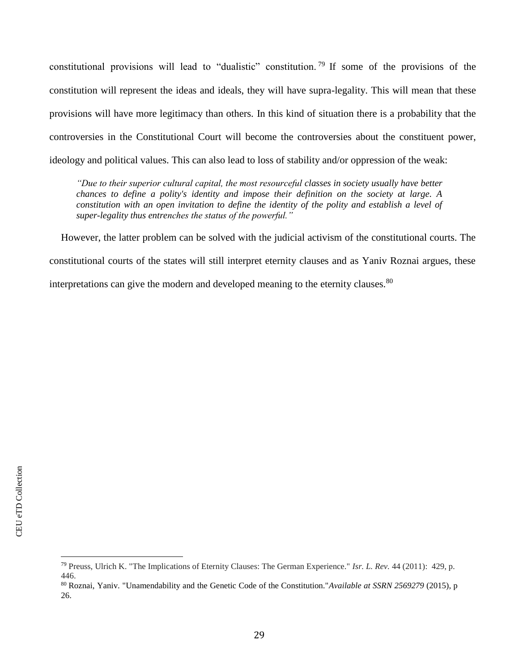constitutional provisions will lead to "dualistic" constitution. <sup>79</sup> If some of the provisions of the constitution will represent the ideas and ideals, they will have supra-legality. This will mean that these provisions will have more legitimacy than others. In this kind of situation there is a probability that the controversies in the Constitutional Court will become the controversies about the constituent power, ideology and political values. This can also lead to loss of stability and/or oppression of the weak:

*"Due to their superior cultural capital, the most resourceful classes in society usually have better chances to define a polity's identity and impose their definition on the society at large. A constitution with an open invitation to define the identity of the polity and establish a level of super-legality thus entrenches the status of the powerful."*

However, the latter problem can be solved with the judicial activism of the constitutional courts. The constitutional courts of the states will still interpret eternity clauses and as Yaniv Roznai argues, these interpretations can give the modern and developed meaning to the eternity clauses.<sup>80</sup>

<sup>79</sup> Preuss, Ulrich K. "The Implications of Eternity Clauses: The German Experience." *Isr. L. Rev.* 44 (2011): 429, p. 446.

<sup>80</sup> Roznai, Yaniv. "Unamendability and the Genetic Code of the Constitution."*Available at SSRN 2569279* (2015), p 26.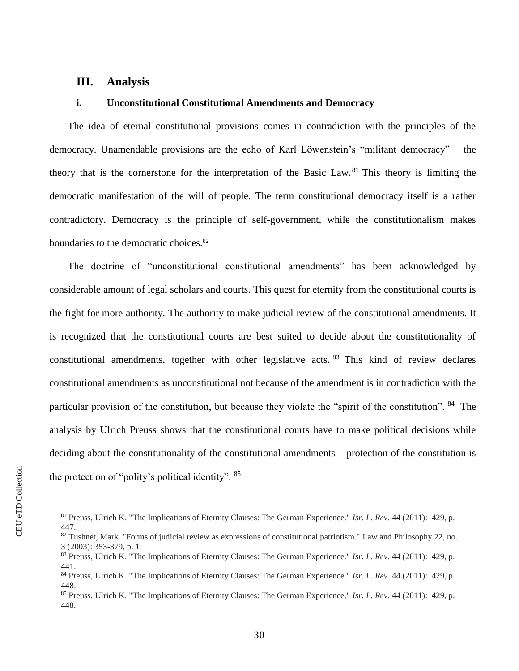# **III. Analysis**

# **i. Unconstitutional Constitutional Amendments and Democracy**

The idea of eternal constitutional provisions comes in contradiction with the principles of the democracy. Unamendable provisions are the echo of Karl Löwenstein's "militant democracy" – the theory that is the cornerstone for the interpretation of the Basic Law. <sup>81</sup> This theory is limiting the democratic manifestation of the will of people. The term constitutional democracy itself is a rather contradictory. Democracy is the principle of self-government, while the constitutionalism makes boundaries to the democratic choices.<sup>82</sup>

The doctrine of "unconstitutional constitutional amendments" has been acknowledged by considerable amount of legal scholars and courts. This quest for eternity from the constitutional courts is the fight for more authority. The authority to make judicial review of the constitutional amendments. It is recognized that the constitutional courts are best suited to decide about the constitutionality of constitutional amendments, together with other legislative acts. <sup>83</sup> This kind of review declares constitutional amendments as unconstitutional not because of the amendment is in contradiction with the particular provision of the constitution, but because they violate the "spirit of the constitution". <sup>84</sup> The analysis by Ulrich Preuss shows that the constitutional courts have to make political decisions while deciding about the constitutionality of the constitutional amendments – protection of the constitution is the protection of "polity's political identity". <sup>85</sup>

<sup>81</sup> Preuss, Ulrich K. "The Implications of Eternity Clauses: The German Experience." *Isr. L. Rev.* 44 (2011): 429, p. 447.

<sup>82</sup> Tushnet, Mark. "Forms of judicial review as expressions of constitutional patriotism." Law and Philosophy 22, no. 3 (2003): 353-379, p. 1

<sup>83</sup> Preuss, Ulrich K. "The Implications of Eternity Clauses: The German Experience." *Isr. L. Rev.* 44 (2011): 429, p. 441.

<sup>84</sup> Preuss, Ulrich K. "The Implications of Eternity Clauses: The German Experience." *Isr. L. Rev.* 44 (2011): 429, p. 448.

<sup>85</sup> Preuss, Ulrich K. "The Implications of Eternity Clauses: The German Experience." *Isr. L. Rev.* 44 (2011): 429, p. 448.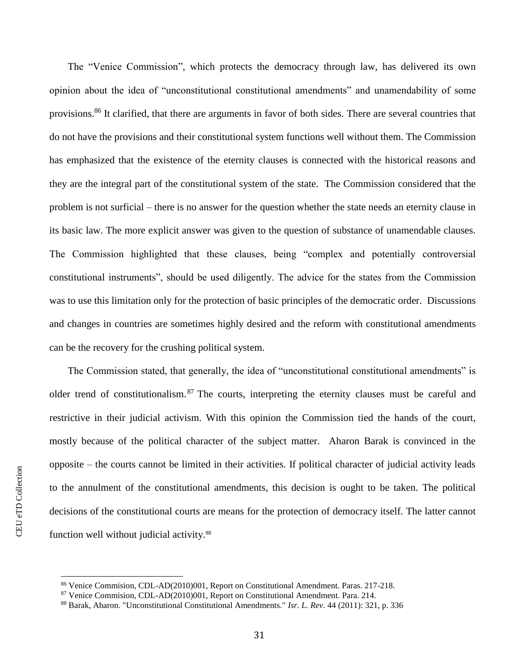The "Venice Commission", which protects the democracy through law, has delivered its own opinion about the idea of "unconstitutional constitutional amendments" and unamendability of some provisions.<sup>86</sup> It clarified, that there are arguments in favor of both sides. There are several countries that do not have the provisions and their constitutional system functions well without them. The Commission has emphasized that the existence of the eternity clauses is connected with the historical reasons and they are the integral part of the constitutional system of the state. The Commission considered that the problem is not surficial – there is no answer for the question whether the state needs an eternity clause in its basic law. The more explicit answer was given to the question of substance of unamendable clauses. The Commission highlighted that these clauses, being "complex and potentially controversial constitutional instruments", should be used diligently. The advice for the states from the Commission was to use this limitation only for the protection of basic principles of the democratic order. Discussions and changes in countries are sometimes highly desired and the reform with constitutional amendments can be the recovery for the crushing political system.

The Commission stated, that generally, the idea of "unconstitutional constitutional amendments" is older trend of constitutionalism.<sup>87</sup> The courts, interpreting the eternity clauses must be careful and restrictive in their judicial activism. With this opinion the Commission tied the hands of the court, mostly because of the political character of the subject matter. Aharon Barak is convinced in the opposite – the courts cannot be limited in their activities. If political character of judicial activity leads to the annulment of the constitutional amendments, this decision is ought to be taken. The political decisions of the constitutional courts are means for the protection of democracy itself. The latter cannot function well without judicial activity.<sup>88</sup>

<sup>86</sup> Venice Commision, CDL-AD(2010)001, Report on Constitutional Amendment. Paras. 217-218.

<sup>87</sup> Venice Commision, CDL-AD(2010)001, Report on Constitutional Amendment. Para. 214.

<sup>88</sup> Barak, Aharon. "Unconstitutional Constitutional Amendments." *Isr. L. Rev*. 44 (2011): 321, p. 336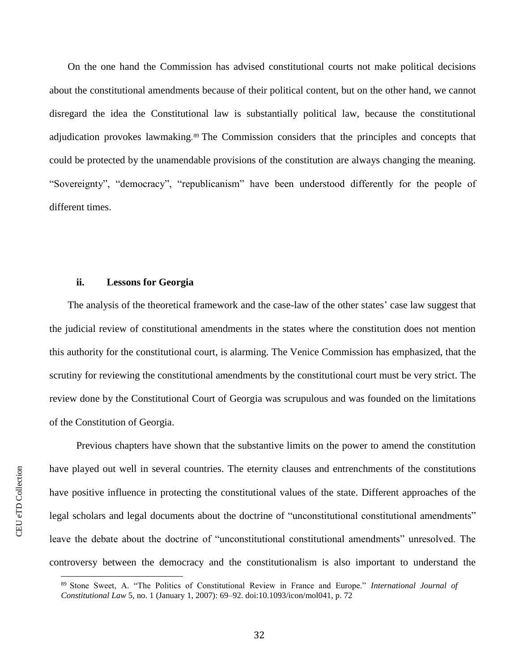On the one hand the Commission has advised constitutional courts not make political decisions about the constitutional amendments because of their political content, but on the other hand, we cannot disregard the idea the Constitutional law is substantially political law, because the constitutional adjudication provokes lawmaking. <sup>89</sup> The Commission considers that the principles and concepts that could be protected by the unamendable provisions of the constitution are always changing the meaning. "Sovereignty", "democracy", "republicanism" have been understood differently for the people of different times.

#### **ii. Lessons for Georgia**

The analysis of the theoretical framework and the case-law of the other states' case law suggest that the judicial review of constitutional amendments in the states where the constitution does not mention this authority for the constitutional court, is alarming. The Venice Commission has emphasized, that the scrutiny for reviewing the constitutional amendments by the constitutional court must be very strict. The review done by the Constitutional Court of Georgia was scrupulous and was founded on the limitations of the Constitution of Georgia.

Previous chapters have shown that the substantive limits on the power to amend the constitution have played out well in several countries. The eternity clauses and entrenchments of the constitutions have positive influence in protecting the constitutional values of the state. Different approaches of the legal scholars and legal documents about the doctrine of "unconstitutional constitutional amendments" leave the debate about the doctrine of "unconstitutional constitutional amendments" unresolved. The controversy between the democracy and the constitutionalism is also important to understand the

<sup>89</sup> Stone Sweet, A. "The Politics of Constitutional Review in France and Europe." *International Journal of Constitutional Law* 5, no. 1 (January 1, 2007): 69–92. doi:10.1093/icon/mol041, p. 72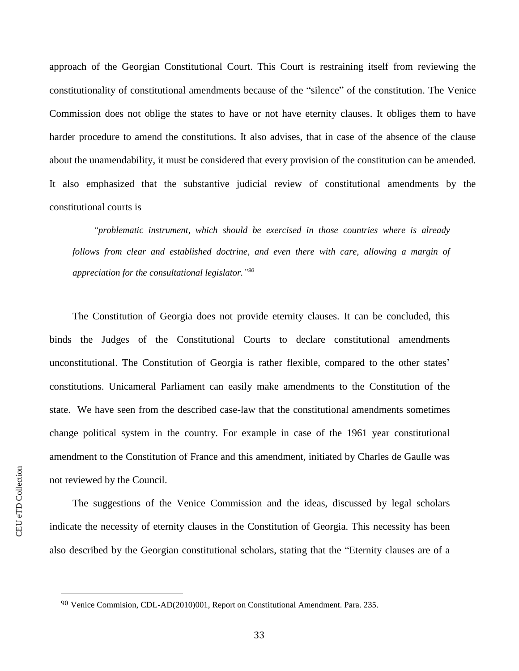approach of the Georgian Constitutional Court. This Court is restraining itself from reviewing the constitutionality of constitutional amendments because of the "silence" of the constitution. The Venice Commission does not oblige the states to have or not have eternity clauses. It obliges them to have harder procedure to amend the constitutions. It also advises, that in case of the absence of the clause about the unamendability, it must be considered that every provision of the constitution can be amended. It also emphasized that the substantive judicial review of constitutional amendments by the constitutional courts is

*"problematic instrument, which should be exercised in those countries where is already follows from clear and established doctrine, and even there with care, allowing a margin of appreciation for the consultational legislator." 90*

The Constitution of Georgia does not provide eternity clauses. It can be concluded, this binds the Judges of the Constitutional Courts to declare constitutional amendments unconstitutional. The Constitution of Georgia is rather flexible, compared to the other states' constitutions. Unicameral Parliament can easily make amendments to the Constitution of the state. We have seen from the described case-law that the constitutional amendments sometimes change political system in the country. For example in case of the 1961 year constitutional amendment to the Constitution of France and this amendment, initiated by Charles de Gaulle was not reviewed by the Council.

The suggestions of the Venice Commission and the ideas, discussed by legal scholars indicate the necessity of eternity clauses in the Constitution of Georgia. This necessity has been also described by the Georgian constitutional scholars, stating that the "Eternity clauses are of a

l

<sup>90</sup> Venice Commision, CDL-AD(2010)001, Report on Constitutional Amendment. Para. 235.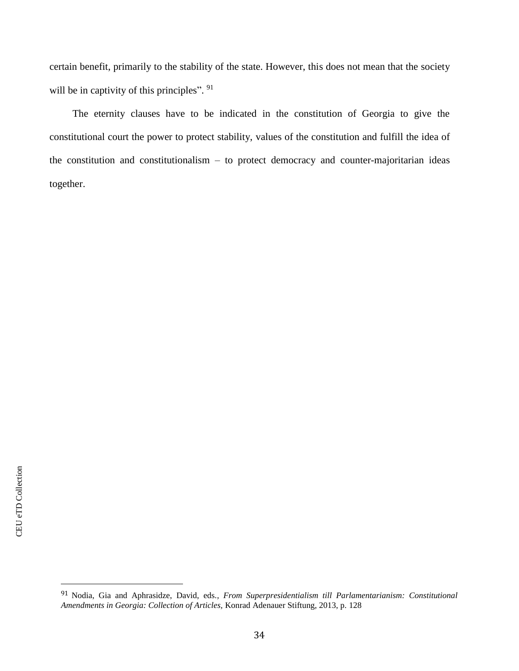certain benefit, primarily to the stability of the state. However, this does not mean that the society will be in captivity of this principles". <sup>91</sup>

The eternity clauses have to be indicated in the constitution of Georgia to give the constitutional court the power to protect stability, values of the constitution and fulfill the idea of the constitution and constitutionalism – to protect democracy and counter-majoritarian ideas together.

<sup>91</sup> Nodia, Gia and Aphrasidze, David, eds*., From Superpresidentialism till Parlamentarianism: Constitutional Amendments in Georgia: Collection of Articles,* Konrad Adenauer Stiftung, 2013, p. 128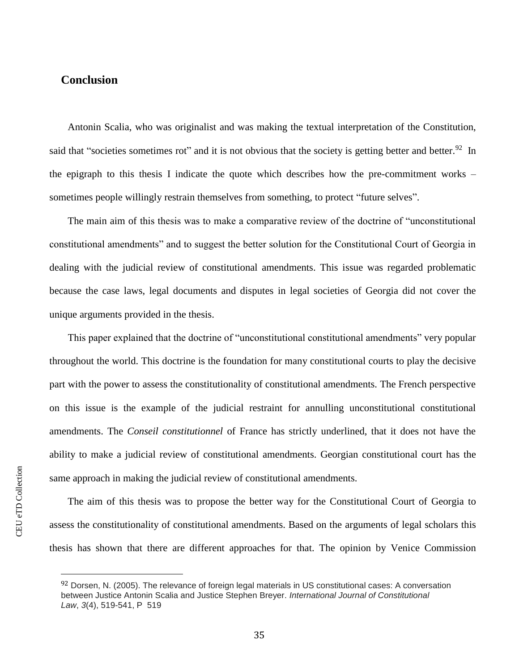# **Conclusion**

Antonin Scalia, who was originalist and was making the textual interpretation of the Constitution, said that "societies sometimes rot" and it is not obvious that the society is getting better and better.<sup>92</sup> In the epigraph to this thesis I indicate the quote which describes how the pre-commitment works – sometimes people willingly restrain themselves from something, to protect "future selves".

The main aim of this thesis was to make a comparative review of the doctrine of "unconstitutional constitutional amendments" and to suggest the better solution for the Constitutional Court of Georgia in dealing with the judicial review of constitutional amendments. This issue was regarded problematic because the case laws, legal documents and disputes in legal societies of Georgia did not cover the unique arguments provided in the thesis.

This paper explained that the doctrine of "unconstitutional constitutional amendments" very popular throughout the world. This doctrine is the foundation for many constitutional courts to play the decisive part with the power to assess the constitutionality of constitutional amendments. The French perspective on this issue is the example of the judicial restraint for annulling unconstitutional constitutional amendments. The *Conseil constitutionnel* of France has strictly underlined, that it does not have the ability to make a judicial review of constitutional amendments. Georgian constitutional court has the same approach in making the judicial review of constitutional amendments.

The aim of this thesis was to propose the better way for the Constitutional Court of Georgia to assess the constitutionality of constitutional amendments. Based on the arguments of legal scholars this thesis has shown that there are different approaches for that. The opinion by Venice Commission

<sup>92</sup> Dorsen, N. (2005). The relevance of foreign legal materials in US constitutional cases: A conversation between Justice Antonin Scalia and Justice Stephen Breyer. *International Journal of Constitutional Law*, *3*(4), 519-541, P 519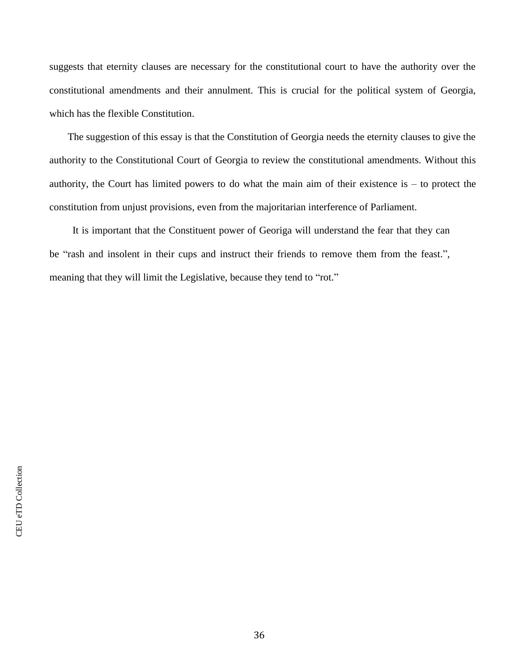suggests that eternity clauses are necessary for the constitutional court to have the authority over the constitutional amendments and their annulment. This is crucial for the political system of Georgia, which has the flexible Constitution.

The suggestion of this essay is that the Constitution of Georgia needs the eternity clauses to give the authority to the Constitutional Court of Georgia to review the constitutional amendments. Without this authority, the Court has limited powers to do what the main aim of their existence is  $-$  to protect the constitution from unjust provisions, even from the majoritarian interference of Parliament.

It is important that the Constituent power of Georiga will understand the fear that they can be "rash and insolent in their cups and instruct their friends to remove them from the feast.", meaning that they will limit the Legislative, because they tend to "rot."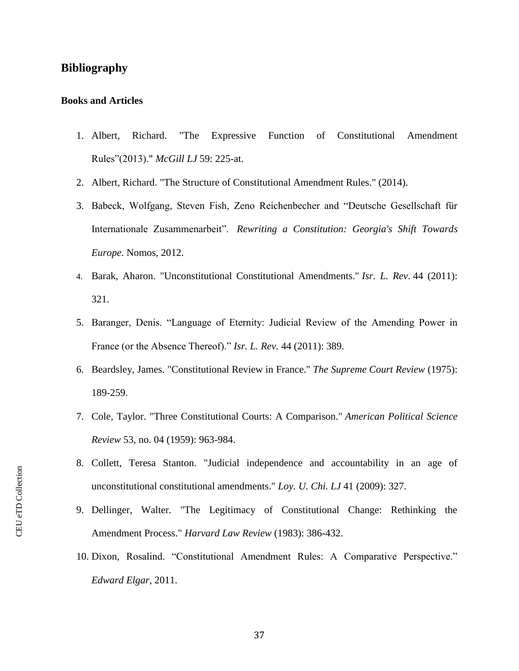# **Bibliography**

#### **Books and Articles**

- 1. Albert, Richard. "The Expressive Function of Constitutional Amendment Rules"(2013)." *McGill LJ* 59: 225-at.
- 2. Albert, Richard. "The Structure of Constitutional Amendment Rules." (2014).
- 3. Babeck, Wolfgang, Steven Fish, Zeno Reichenbecher and "Deutsche Gesellschaft für Internationale Zusammenarbeit". *Rewriting a Constitution: Georgia's Shift Towards Europe*. Nomos, 2012.
- 4. Barak, Aharon. "Unconstitutional Constitutional Amendments." *Isr. L. Rev*. 44 (2011): 321.
- 5. Baranger, Denis. "Language of Eternity: Judicial Review of the Amending Power in France (or the Absence Thereof)." *Isr. L. Rev.* 44 (2011): 389.
- 6. Beardsley, James. "Constitutional Review in France." *The Supreme Court Review* (1975): 189-259.
- 7. Cole, Taylor. "Three Constitutional Courts: A Comparison." *American Political Science Review* 53, no. 04 (1959): 963-984.
- 8. Collett, Teresa Stanton. "Judicial independence and accountability in an age of unconstitutional constitutional amendments." *Loy. U. Chi. LJ* 41 (2009): 327.
- 9. Dellinger, Walter. "The Legitimacy of Constitutional Change: Rethinking the Amendment Process." *Harvard Law Review* (1983): 386-432.
- 10. Dixon, Rosalind. "Constitutional Amendment Rules: A Comparative Perspective." *Edward Elgar*, 2011.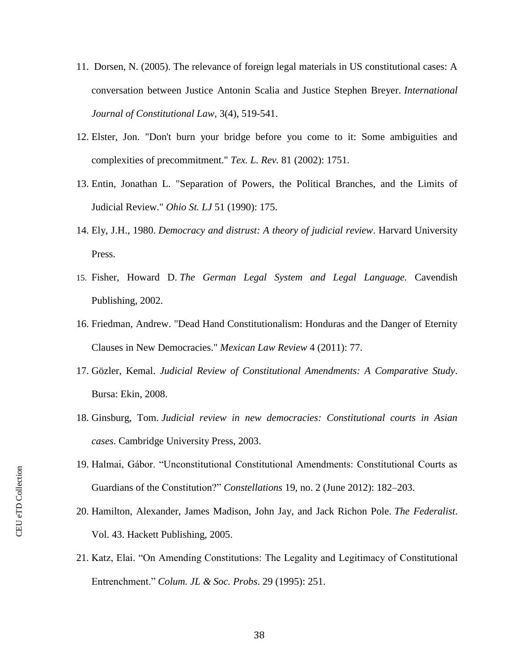- 11. Dorsen, N. (2005). The relevance of foreign legal materials in US constitutional cases: A conversation between Justice Antonin Scalia and Justice Stephen Breyer. *International Journal of Constitutional Law*, 3(4), 519-541.
- 12. Elster, Jon. "Don't burn your bridge before you come to it: Some ambiguities and complexities of precommitment." *Tex. L. Rev.* 81 (2002): 1751.
- 13. Entin, Jonathan L. "Separation of Powers, the Political Branches, and the Limits of Judicial Review." *Ohio St. LJ* 51 (1990): 175.
- 14. Ely, J.H., 1980. *Democracy and distrust: A theory of judicial review*. Harvard University Press.
- 15. Fisher, Howard D. *The German Legal System and Legal Language.* Cavendish Publishing, 2002.
- 16. Friedman, Andrew. "Dead Hand Constitutionalism: Honduras and the Danger of Eternity Clauses in New Democracies." *Mexican Law Review* 4 (2011): 77.
- 17. Gözler, Kemal. *Judicial Review of Constitutional Amendments: A Comparative Study*. Bursa: Ekin, 2008.
- 18. Ginsburg, Tom. *Judicial review in new democracies: Constitutional courts in Asian cases*. Cambridge University Press, 2003.
- 19. Halmai, Gábor. "Unconstitutional Constitutional Amendments: Constitutional Courts as Guardians of the Constitution?" *Constellations* 19, no. 2 (June 2012): 182–203.
- 20. Hamilton, Alexander, James Madison, John Jay, and Jack Richon Pole. *The Federalist*. Vol. 43. Hackett Publishing, 2005.
- 21. Katz, Elai. "On Amending Constitutions: The Legality and Legitimacy of Constitutional Entrenchment." *Colum. JL & Soc. Probs*. 29 (1995): 251.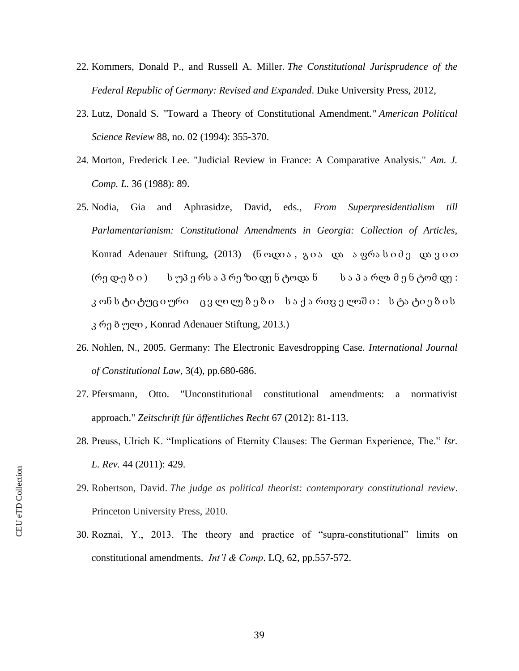- 22. Kommers, Donald P., and Russell A. Miller. *The Constitutional Jurisprudence of the Federal Republic of Germany: Revised and Expanded*. Duke University Press, 2012,
- 23. Lutz, Donald S. "Toward a Theory of Constitutional Amendment*." American Political Science Review* 88, no. 02 (1994): 355-370.
- 24. Morton, Frederick Lee. "Judicial Review in France: A Comparative Analysis." *Am. J. Comp. L.* 36 (1988): 89.
- 25. Nodia, Gia and Aphrasidze, David, eds*., From Superpresidentialism till Parlamentarianism: Constitutional Amendments in Georgia: Collection of Articles,*  Konrad Adenauer Stiftung, (2013) (ნოდია, გია და აფრასიძე დავით (რე დ-ე ბ ი ) ს უპ ე რს ა პ რე ზი დე ნ ტოდა ნ ს ა პ ა რლა მ ე ნ ტომ დე : კ ონ ს ტი ტუც ი ური ც ვ ლი ლე ბ ე ბ ი ს ა ქ ა რთვ ე ლოშ ი : ს ტა ტი ე ბ ი ს კ რე ბ ული *,* Konrad Adenauer Stiftung, 2013.)
- 26. Nohlen, N., 2005. Germany: The Electronic Eavesdropping Case. *International Journal of Constitutional Law*, 3(4), pp.680-686.
- 27. Pfersmann, Otto. "Unconstitutional constitutional amendments: a normativist approach." *Zeitschrift für öffentliches Recht* 67 (2012): 81-113.
- 28. Preuss, Ulrich K. "Implications of Eternity Clauses: The German Experience, The." *Isr. L. Rev.* 44 (2011): 429.
- 29. Robertson, David. *The judge as political theorist: contemporary constitutional review*. Princeton University Press, 2010.
- 30. Roznai, Y., 2013. The theory and practice of "supra-constitutional" limits on constitutional amendments. *Int'l & Comp*. LQ, 62, pp.557-572.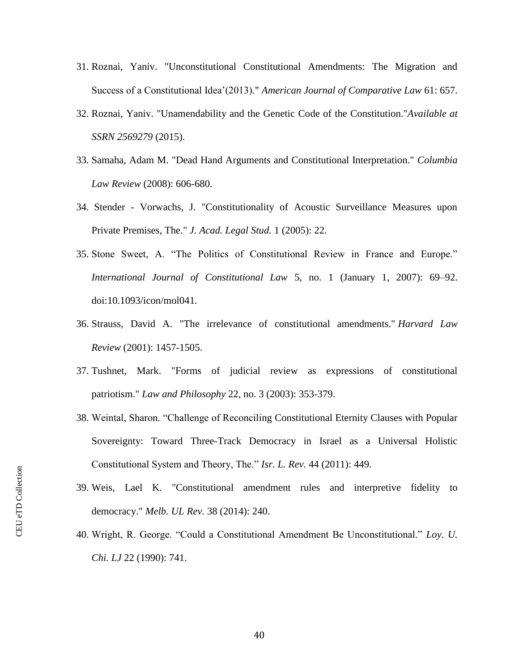- 31. Roznai, Yaniv. "Unconstitutional Constitutional Amendments: The Migration and Success of a Constitutional Idea'(2013)." *American Journal of Comparative Law* 61: 657.
- 32. Roznai, Yaniv. "Unamendability and the Genetic Code of the Constitution."*Available at SSRN 2569279* (2015).
- 33. Samaha, Adam M. "Dead Hand Arguments and Constitutional Interpretation." *Columbia Law Review* (2008): 606-680.
- 34. Stender Vorwachs, J. "Constitutionality of Acoustic Surveillance Measures upon Private Premises, The." *J. Acad. Legal Stud.* 1 (2005): 22.
- 35. Stone Sweet, A. "The Politics of Constitutional Review in France and Europe." *International Journal of Constitutional Law* 5, no. 1 (January 1, 2007): 69–92. doi:10.1093/icon/mol041.
- 36. Strauss, David A. "The irrelevance of constitutional amendments." *Harvard Law Review* (2001): 1457-1505.
- 37. Tushnet, Mark. "Forms of judicial review as expressions of constitutional patriotism." *Law and Philosophy* 22, no. 3 (2003): 353-379.
- 38. Weintal, Sharon. "Challenge of Reconciling Constitutional Eternity Clauses with Popular Sovereignty: Toward Three-Track Democracy in Israel as a Universal Holistic Constitutional System and Theory, The." *Isr. L. Rev.* 44 (2011): 449.
- 39. Weis, Lael K. "Constitutional amendment rules and interpretive fidelity to democracy." *Melb. UL Rev.* 38 (2014): 240.
- 40. Wright, R. George. "Could a Constitutional Amendment Be Unconstitutional." *Loy. U. Chi. LJ* 22 (1990): 741.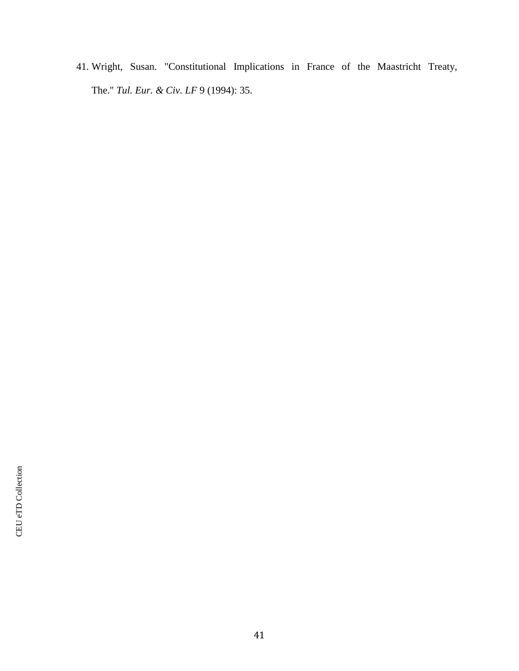41. Wright, Susan. "Constitutional Implications in France of the Maastricht Treaty, The." *Tul. Eur. & Civ. LF* 9 (1994): 35.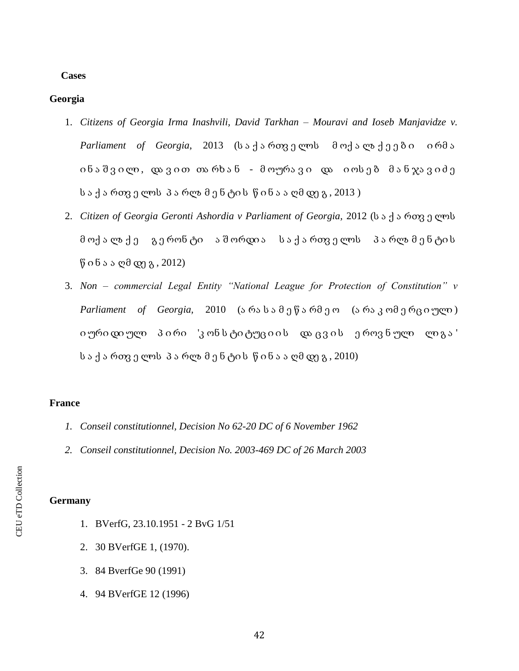### **Cases**

# **Georgia**

- 1. *Citizens of Georgia Irma Inashvili, David Tarkhan – Mouravi and Ioseb Manjavidze v. Parliament of Georgia*, 2013 (ს ა ქ ა რთვ ე ლოს მ ოქ ა ლა ქ ე ე ბ ი ი რმ ა ინა შვილი, დავით თარხან - მოურავი და იოსებ მანჯავიძე ს ა ქ ა რთვ ე ლოს პ ა რლა მ ე ნ ტი ს წ ი ნ ა ა ღმ დე გ , 2013 )
- 2. *Citizen of Georgia Geronti Ashordia v Parliament of Georgia,* 2012 (ს ა ქ ა რთვ ე ლოს მ ოქ ა ლა ქ ე გ ე რონ ტი ა შ ორდი ა ს ა ქ ა რთვ ე ლოს პ ა რლა მ ე ნ ტი ს  $\beta$  ი ნ ა ა ღმ დე გ, 2012)
- 3. *Non – commercial Legal Entity "National League for Protection of Constitution" v Parliament of Georgia,* 2010 (ა რა ს ა მ ე წ ა რმ ე ო (ა რა კ ომ ე რც ი ული ) ი ური დი ული პირი 'კონ სტიტუც იის დაცვის ეროვნული ლიგა' ს ა ქ ა რთვ ე ლოს პ ა რლა მ ე ნ ტი ს წ ი ნ ა ა ღმ დე გ , 2010)

## **France**

- *1. Conseil constitutionnel, Decision No 62-20 DC of 6 November 1962*
- *2. Conseil constitutionnel, Decision No. 2003-469 DC of 26 March 2003*

# **Germany**

- 1. BVerfG, 23.10.1951 2 BvG 1/51
- 2. 30 BVerfGE 1, (1970).
- 3. 84 BverfGe 90 (1991)
- 4. 94 BVerfGE 12 (1996)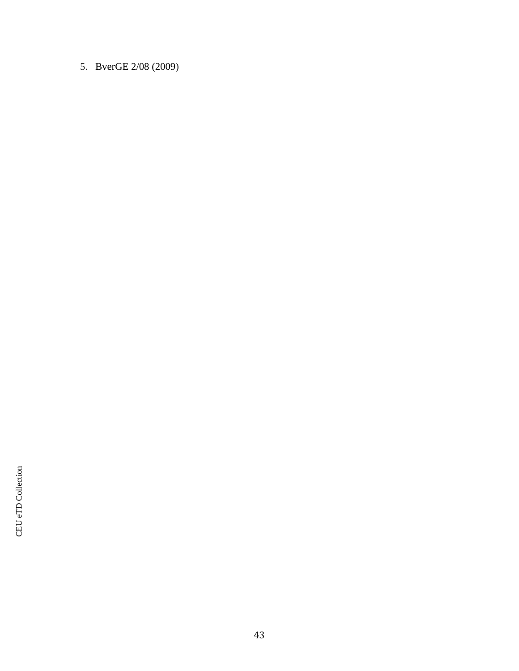5. BverGE 2/08 (2009)